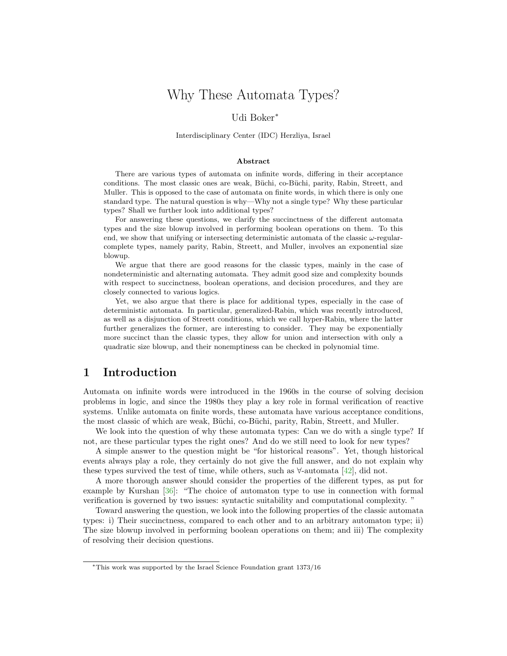# Why These Automata Types?

#### Udi Boker<sup>∗</sup>

Interdisciplinary Center (IDC) Herzliya, Israel

#### Abstract

There are various types of automata on infinite words, differing in their acceptance conditions. The most classic ones are weak, Büchi, co-Büchi, parity, Rabin, Streett, and Muller. This is opposed to the case of automata on finite words, in which there is only one standard type. The natural question is why—Why not a single type? Why these particular types? Shall we further look into additional types?

For answering these questions, we clarify the succinctness of the different automata types and the size blowup involved in performing boolean operations on them. To this end, we show that unifying or intersecting deterministic automata of the classic  $\omega$ -regularcomplete types, namely parity, Rabin, Streett, and Muller, involves an exponential size blowup.

We argue that there are good reasons for the classic types, mainly in the case of nondeterministic and alternating automata. They admit good size and complexity bounds with respect to succinctness, boolean operations, and decision procedures, and they are closely connected to various logics.

Yet, we also argue that there is place for additional types, especially in the case of deterministic automata. In particular, generalized-Rabin, which was recently introduced, as well as a disjunction of Streett conditions, which we call hyper-Rabin, where the latter further generalizes the former, are interesting to consider. They may be exponentially more succinct than the classic types, they allow for union and intersection with only a quadratic size blowup, and their nonemptiness can be checked in polynomial time.

## 1 Introduction

Automata on infinite words were introduced in the 1960s in the course of solving decision problems in logic, and since the 1980s they play a key role in formal verification of reactive systems. Unlike automata on finite words, these automata have various acceptance conditions, the most classic of which are weak, B¨uchi, co-B¨uchi, parity, Rabin, Streett, and Muller.

We look into the question of why these automata types: Can we do with a single type? If not, are these particular types the right ones? And do we still need to look for new types?

A simple answer to the question might be "for historical reasons". Yet, though historical events always play a role, they certainly do not give the full answer, and do not explain why these types survived the test of time, while others, such as  $\forall$ -automata [\[42\]](#page-22-0), did not.

A more thorough answer should consider the properties of the different types, as put for example by Kurshan [\[36\]](#page-22-1): "The choice of automaton type to use in connection with formal verification is governed by two issues: syntactic suitability and computational complexity. "

Toward answering the question, we look into the following properties of the classic automata types: i) Their succinctness, compared to each other and to an arbitrary automaton type; ii) The size blowup involved in performing boolean operations on them; and iii) The complexity of resolving their decision questions.

<sup>∗</sup>This work was supported by the Israel Science Foundation grant 1373/16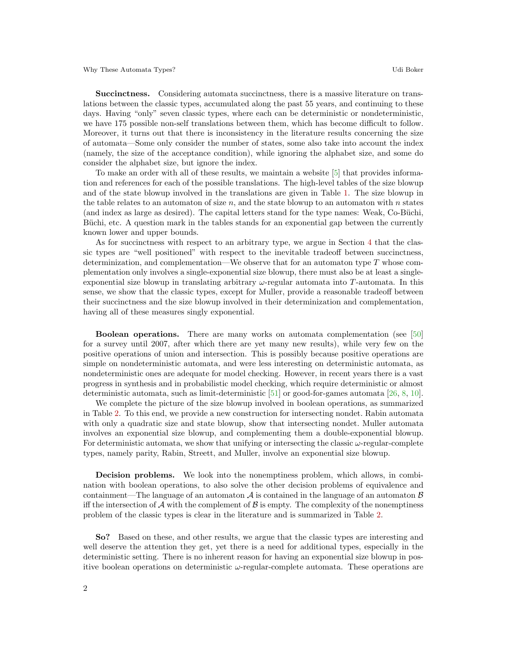Succinctness. Considering automata succinctness, there is a massive literature on translations between the classic types, accumulated along the past 55 years, and continuing to these days. Having "only" seven classic types, where each can be deterministic or nondeterministic, we have 175 possible non-self translations between them, which has become difficult to follow. Moreover, it turns out that there is inconsistency in the literature results concerning the size of automata—Some only consider the number of states, some also take into account the index (namely, the size of the acceptance condition), while ignoring the alphabet size, and some do consider the alphabet size, but ignore the index.

To make an order with all of these results, we maintain a website [\[5\]](#page-21-0) that provides information and references for each of the possible translations. The high-level tables of the size blowup and of the state blowup involved in the translations are given in Table [1.](#page-3-0) The size blowup in the table relates to an automaton of size  $n$ , and the state blowup to an automaton with  $n$  states (and index as large as desired). The capital letters stand for the type names: Weak, Co-Büchi, Büchi, etc. A question mark in the tables stands for an exponential gap between the currently known lower and upper bounds.

As for succinctness with respect to an arbitrary type, we argue in Section [4](#page-13-0) that the classic types are "well positioned" with respect to the inevitable tradeoff between succinctness, determinization, and complementation—We observe that for an automaton type  $T$  whose complementation only involves a single-exponential size blowup, there must also be at least a singleexponential size blowup in translating arbitrary  $\omega$ -regular automata into T-automata. In this sense, we show that the classic types, except for Muller, provide a reasonable tradeoff between their succinctness and the size blowup involved in their determinization and complementation, having all of these measures singly exponential.

Boolean operations. There are many works on automata complementation (see [\[50\]](#page-23-0) for a survey until 2007, after which there are yet many new results), while very few on the positive operations of union and intersection. This is possibly because positive operations are simple on nondeterministic automata, and were less interesting on deterministic automata, as nondeterministic ones are adequate for model checking. However, in recent years there is a vast progress in synthesis and in probabilistic model checking, which require deterministic or almost deterministic automata, such as limit-deterministic [\[51\]](#page-23-1) or good-for-games automata [\[26,](#page-22-2) [8,](#page-21-1) [10\]](#page-21-2).

We complete the picture of the size blowup involved in boolean operations, as summarized in Table [2.](#page-14-0) To this end, we provide a new construction for intersecting nondet. Rabin automata with only a quadratic size and state blowup, show that intersecting nondet. Muller automata involves an exponential size blowup, and complementing them a double-exponential blowup. For deterministic automata, we show that unifying or intersecting the classic  $\omega$ -regular-complete types, namely parity, Rabin, Streett, and Muller, involve an exponential size blowup.

Decision problems. We look into the nonemptiness problem, which allows, in combination with boolean operations, to also solve the other decision problems of equivalence and containment—The language of an automaton  $A$  is contained in the language of an automaton  $B$ iff the intersection of  $\mathcal A$  with the complement of  $\mathcal B$  is empty. The complexity of the nonemptiness problem of the classic types is clear in the literature and is summarized in Table [2.](#page-14-0)

So? Based on these, and other results, we argue that the classic types are interesting and well deserve the attention they get, yet there is a need for additional types, especially in the deterministic setting. There is no inherent reason for having an exponential size blowup in positive boolean operations on deterministic  $\omega$ -regular-complete automata. These operations are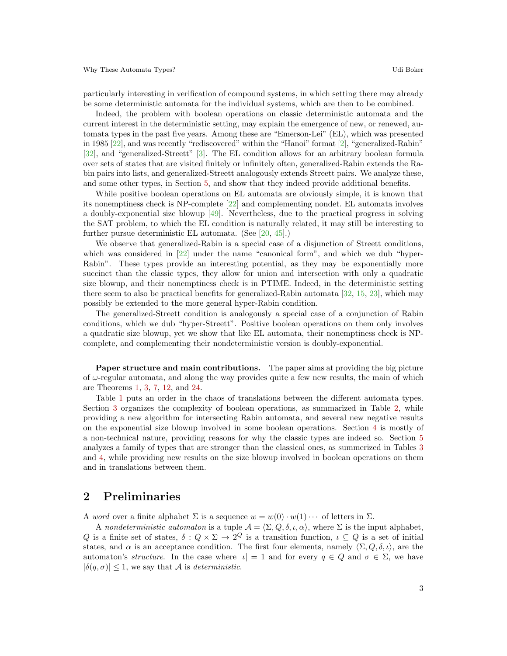particularly interesting in verification of compound systems, in which setting there may already be some deterministic automata for the individual systems, which are then to be combined.

Indeed, the problem with boolean operations on classic deterministic automata and the current interest in the deterministic setting, may explain the emergence of new, or renewed, automata types in the past five years. Among these are "Emerson-Lei" (EL), which was presented in 1985 [\[22\]](#page-22-3), and was recently "rediscovered" within the "Hanoi" format [\[2\]](#page-21-3), "generalized-Rabin" [\[32\]](#page-22-4), and "generalized-Streett" [\[3\]](#page-21-4). The EL condition allows for an arbitrary boolean formula over sets of states that are visited finitely or infinitely often, generalized-Rabin extends the Rabin pairs into lists, and generalized-Streett analogously extends Streett pairs. We analyze these, and some other types, in Section [5,](#page-16-0) and show that they indeed provide additional benefits.

While positive boolean operations on EL automata are obviously simple, it is known that its nonemptiness check is NP-complete [\[22\]](#page-22-3) and complementing nondet. EL automata involves a doubly-exponential size blowup [\[49\]](#page-23-2). Nevertheless, due to the practical progress in solving the SAT problem, to which the EL condition is naturally related, it may still be interesting to further pursue deterministic EL automata. (See [\[20,](#page-21-5) [45\]](#page-22-5).)

We observe that generalized-Rabin is a special case of a disjunction of Streett conditions, which was considered in [\[22\]](#page-22-3) under the name "canonical form", and which we dub "hyper-Rabin". These types provide an interesting potential, as they may be exponentially more succinct than the classic types, they allow for union and intersection with only a quadratic size blowup, and their nonemptiness check is in PTIME. Indeed, in the deterministic setting there seem to also be practical benefits for generalized-Rabin automata [\[32,](#page-22-4) [15,](#page-21-6) [23\]](#page-22-6), which may possibly be extended to the more general hyper-Rabin condition.

The generalized-Streett condition is analogously a special case of a conjunction of Rabin conditions, which we dub "hyper-Streett". Positive boolean operations on them only involves a quadratic size blowup, yet we show that like EL automata, their nonemptiness check is NPcomplete, and complementing their nondeterministic version is doubly-exponential.

Paper structure and main contributions. The paper aims at providing the big picture of  $\omega$ -regular automata, and along the way provides quite a few new results, the main of which are Theorems [1,](#page-6-0) [3,](#page-7-0) [7,](#page-10-0) [12,](#page-12-0) and [24.](#page-18-0)

Table [1](#page-3-0) puts an order in the chaos of translations between the different automata types. Section [3](#page-4-0) organizes the complexity of boolean operations, as summarized in Table [2,](#page-14-0) while providing a new algorithm for intersecting Rabin automata, and several new negative results on the exponential size blowup involved in some boolean operations. Section [4](#page-13-0) is mostly of a non-technical nature, providing reasons for why the classic types are indeed so. Section [5](#page-16-0) analyzes a family of types that are stronger than the classical ones, as summerized in Tables [3](#page-20-0) and [4,](#page-20-1) while providing new results on the size blowup involved in boolean operations on them and in translations between them.

## <span id="page-2-0"></span>2 Preliminaries

A word over a finite alphabet  $\Sigma$  is a sequence  $w = w(0) \cdot w(1) \cdots$  of letters in  $\Sigma$ .

A nondeterministic automaton is a tuple  $\mathcal{A} = \langle \Sigma, Q, \delta, \iota, \alpha \rangle$ , where  $\Sigma$  is the input alphabet, Q is a finite set of states,  $\delta: Q \times \Sigma \to 2^Q$  is a transition function,  $\iota \subseteq Q$  is a set of initial states, and  $\alpha$  is an acceptance condition. The first four elements, namely  $\langle \Sigma, Q, \delta, \iota \rangle$ , are the automaton's structure. In the case where  $|\iota| = 1$  and for every  $q \in Q$  and  $\sigma \in \Sigma$ , we have  $|\delta(q, \sigma)| \leq 1$ , we say that A is *deterministic*.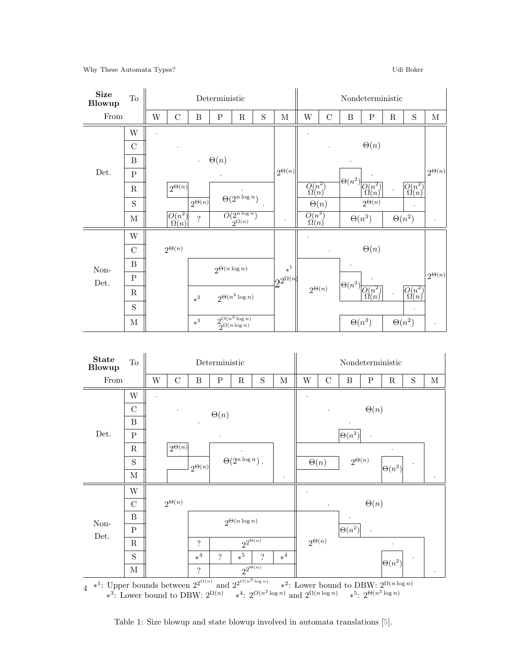

∗<sup>1</sup>: Upper bounds between  $2^{2^{O(n)}}$  and  $2^{2^{O(n^3 \log n)}}$ <sup>∗2</sup>: Lower bound to DBW:  $2^{\Omega(n \log n)}$ 4 \*: Upper bounds between  $2^2$  and  $2^2$ <br> $*^3$ : Lower bound to DBW:  $2^{\Omega(n)}$   $*^4$ :  $2^{O(n^2)}$  $\log n)$  and  $2^{\Omega(n \log n)} \quad *^5$ :  $2^{\Theta(n^2 \log n)}$ 

<span id="page-3-0"></span>Table 1: Size blowup and state blowup involved in automata translations [\[5\]](#page-21-0).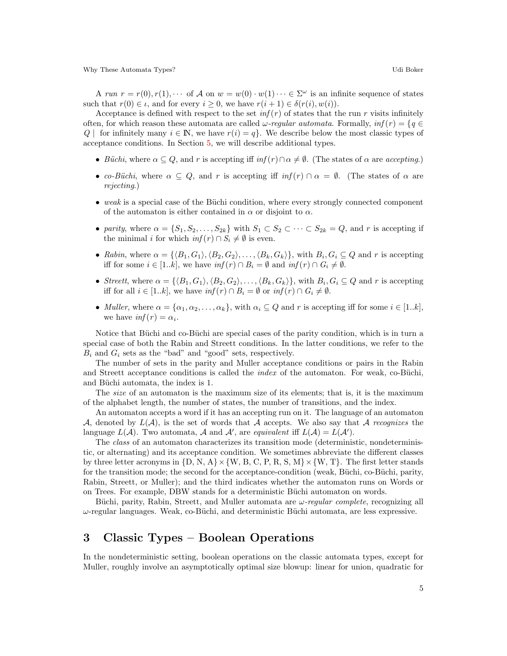A run  $r = r(0), r(1), \cdots$  of A on  $w = w(0) \cdot w(1) \cdots \in \Sigma^{\omega}$  is an infinite sequence of states such that  $r(0) \in \iota$ , and for every  $i \geq 0$ , we have  $r(i + 1) \in \delta(r(i), w(i))$ .

Acceptance is defined with respect to the set  $inf(r)$  of states that the run r visits infinitely often, for which reason these automata are called  $\omega$ -regular automata. Formally,  $inf(r) = \{q \in$  $Q \mid$  for infinitely many  $i \in \mathbb{N}$ , we have  $r(i) = q$ . We describe below the most classic types of acceptance conditions. In Section [5,](#page-16-0) we will describe additional types.

- Büchi, where  $\alpha \subseteq Q$ , and r is accepting iff  $inf(r) \cap \alpha \neq \emptyset$ . (The states of  $\alpha$  are accepting.)
- co-Büchi, where  $\alpha \subseteq Q$ , and r is accepting iff  $inf(r) \cap \alpha = \emptyset$ . (The states of  $\alpha$  are rejecting.)
- weak is a special case of the Büchi condition, where every strongly connected component of the automaton is either contained in  $\alpha$  or disjoint to  $\alpha$ .
- parity, where  $\alpha = \{S_1, S_2, \ldots, S_{2k}\}\$  with  $S_1 \subset S_2 \subset \cdots \subset S_{2k} = Q$ , and r is accepting if the minimal *i* for which  $inf(r) \cap S_i \neq \emptyset$  is even.
- Rabin, where  $\alpha = \{ \langle B_1, G_1 \rangle, \langle B_2, G_2 \rangle, \ldots, \langle B_k, G_k \rangle \},\$  with  $B_i, G_i \subseteq Q$  and r is accepting iff for some  $i \in [1..k]$ , we have  $\inf(r) \cap B_i = \emptyset$  and  $\inf(r) \cap G_i \neq \emptyset$ .
- Streett, where  $\alpha = \{ \langle B_1, G_1 \rangle, \langle B_2, G_2 \rangle, \dots, \langle B_k, G_k \rangle \}$ , with  $B_i, G_i \subseteq Q$  and r is accepting iff for all  $i \in [1..k]$ , we have  $\inf(r) \cap B_i = \emptyset$  or  $\inf(r) \cap G_i \neq \emptyset$ .
- Muller, where  $\alpha = {\alpha_1, \alpha_2, \ldots, \alpha_k}$ , with  $\alpha_i \subseteq Q$  and r is accepting iff for some  $i \in [1..k]$ , we have  $\inf(r) = \alpha_i$ .

Notice that Büchi and co-Büchi are special cases of the parity condition, which is in turn a special case of both the Rabin and Streett conditions. In the latter conditions, we refer to the  $B_i$  and  $G_i$  sets as the "bad" and "good" sets, respectively.

The number of sets in the parity and Muller acceptance conditions or pairs in the Rabin and Streett acceptance conditions is called the *index* of the automaton. For weak, co-Büchi, and Büchi automata, the index is 1.

The *size* of an automaton is the maximum size of its elements; that is, it is the maximum of the alphabet length, the number of states, the number of transitions, and the index.

An automaton accepts a word if it has an accepting run on it. The language of an automaton A, denoted by  $L(\mathcal{A})$ , is the set of words that A accepts. We also say that A recognizes the language  $L(\mathcal{A})$ . Two automata,  $\mathcal A$  and  $\mathcal A'$ , are equivalent iff  $L(\mathcal{A}) = L(\mathcal{A}')$ .

The class of an automaton characterizes its transition mode (deterministic, nondeterministic, or alternating) and its acceptance condition. We sometimes abbreviate the different classes by three letter acronyms in  $\{D, N, A\} \times \{W, B, C, P, R, S, M\} \times \{W, T\}$ . The first letter stands for the transition mode; the second for the acceptance-condition (weak, Büchi, co-Büchi, parity, Rabin, Streett, or Muller); and the third indicates whether the automaton runs on Words or on Trees. For example, DBW stands for a deterministic Büchi automaton on words.

Büchi, parity, Rabin, Streett, and Muller automata are  $\omega$ -regular complete, recognizing all  $\omega$ -regular languages. Weak, co-Büchi, and deterministic Büchi automata, are less expressive.

## <span id="page-4-0"></span>3 Classic Types – Boolean Operations

In the nondeterministic setting, boolean operations on the classic automata types, except for Muller, roughly involve an asymptotically optimal size blowup: linear for union, quadratic for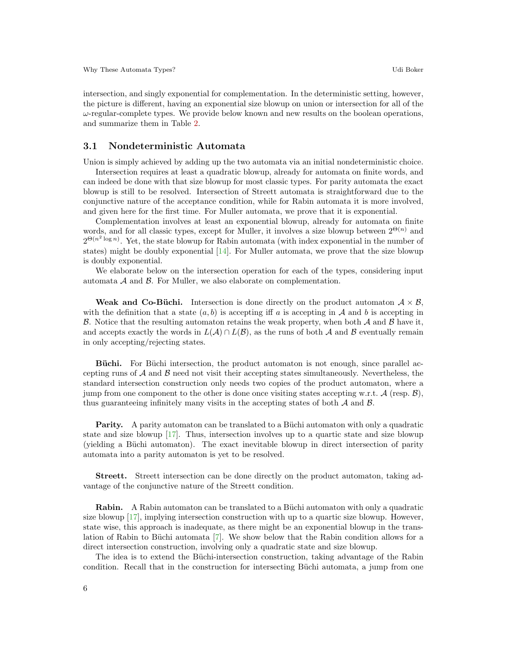intersection, and singly exponential for complementation. In the deterministic setting, however, the picture is different, having an exponential size blowup on union or intersection for all of the  $\omega$ -regular-complete types. We provide below known and new results on the boolean operations, and summarize them in Table [2.](#page-14-0)

#### 3.1 Nondeterministic Automata

Union is simply achieved by adding up the two automata via an initial nondeterministic choice.

Intersection requires at least a quadratic blowup, already for automata on finite words, and can indeed be done with that size blowup for most classic types. For parity automata the exact blowup is still to be resolved. Intersection of Streett automata is straightforward due to the conjunctive nature of the acceptance condition, while for Rabin automata it is more involved, and given here for the first time. For Muller automata, we prove that it is exponential.

Complementation involves at least an exponential blowup, already for automata on finite words, and for all classic types, except for Muller, it involves a size blowup between  $2^{\Theta(n)}$  and  $2^{\Theta(n^2 \log n)}$ . Yet, the state blowup for Rabin automata (with index exponential in the number of states) might be doubly exponential  $[14]$ . For Muller automata, we prove that the size blowup is doubly exponential.

We elaborate below on the intersection operation for each of the types, considering input automata  $A$  and  $B$ . For Muller, we also elaborate on complementation.

Weak and Co-Büchi. Intersection is done directly on the product automaton  $A \times B$ , with the definition that a state  $(a, b)$  is accepting iff a is accepting in A and b is accepting in B. Notice that the resulting automaton retains the weak property, when both  $\mathcal A$  and  $\mathcal B$  have it, and accepts exactly the words in  $L(\mathcal{A}) \cap L(\mathcal{B})$ , as the runs of both  $\mathcal A$  and  $\mathcal B$  eventually remain in only accepting/rejecting states.

Büchi. For Büchi intersection, the product automaton is not enough, since parallel accepting runs of  $A$  and  $B$  need not visit their accepting states simultaneously. Nevertheless, the standard intersection construction only needs two copies of the product automaton, where a jump from one component to the other is done once visiting states accepting w.r.t.  $\mathcal{A}$  (resp.  $\mathcal{B}$ ), thus guaranteeing infinitely many visits in the accepting states of both  $A$  and  $B$ .

**Parity.** A parity automaton can be translated to a Büchi automaton with only a quadratic state and size blowup [\[17\]](#page-21-8). Thus, intersection involves up to a quartic state and size blowup (yielding a Büchi automaton). The exact inevitable blowup in direct intersection of parity automata into a parity automaton is yet to be resolved.

Streett. Streett intersection can be done directly on the product automaton, taking advantage of the conjunctive nature of the Streett condition.

**Rabin.** A Rabin automaton can be translated to a Büchi automaton with only a quadratic size blowup [\[17\]](#page-21-8), implying intersection construction with up to a quartic size blowup. However, state wise, this approach is inadequate, as there might be an exponential blowup in the translation of Rabin to Büchi automata  $[7]$ . We show below that the Rabin condition allows for a direct intersection construction, involving only a quadratic state and size blowup.

The idea is to extend the Büchi-intersection construction, taking advantage of the Rabin condition. Recall that in the construction for intersecting Büchi automata, a jump from one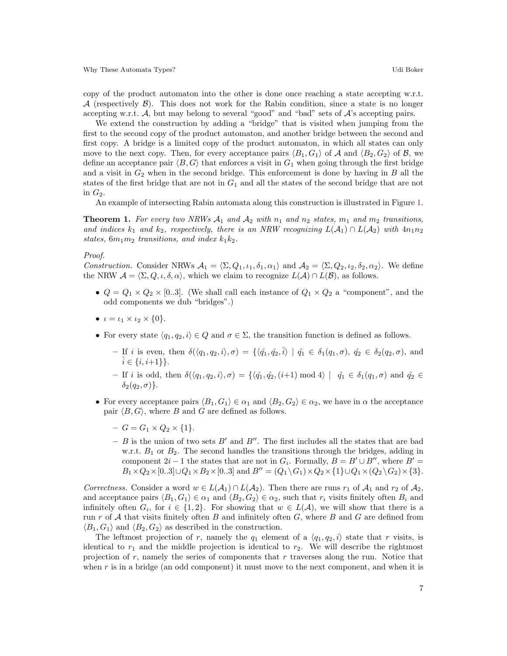copy of the product automaton into the other is done once reaching a state accepting w.r.t.  $\mathcal A$  (respectively  $\mathcal B$ ). This does not work for the Rabin condition, since a state is no longer accepting w.r.t. A, but may belong to several "good" and "bad" sets of A's accepting pairs.

We extend the construction by adding a "bridge" that is visited when jumping from the first to the second copy of the product automaton, and another bridge between the second and first copy. A bridge is a limited copy of the product automaton, in which all states can only move to the next copy. Then, for every acceptance pairs  $\langle B_1, G_1 \rangle$  of A and  $\langle B_2, G_2 \rangle$  of B, we define an acceptance pair  $\langle B, G \rangle$  that enforces a visit in  $G_1$  when going through the first bridge and a visit in  $G_2$  when in the second bridge. This enforcement is done by having in B all the states of the first bridge that are not in  $G_1$  and all the states of the second bridge that are not in  $G_2$ .

An example of intersecting Rabin automata along this construction is illustrated in Figure [1.](#page-8-0)

<span id="page-6-0"></span>**Theorem 1.** For every two NRWs  $A_1$  and  $A_2$  with  $n_1$  and  $n_2$  states,  $m_1$  and  $m_2$  transitions, and indices  $k_1$  and  $k_2$ , respectively, there is an NRW recognizing  $L(\mathcal{A}_1) \cap L(\mathcal{A}_2)$  with  $4n_1n_2$ states,  $6m_1m_2$  transitions, and index  $k_1k_2$ .

#### Proof.

Construction. Consider NRWs  $\mathcal{A}_1 = \langle \Sigma, Q_1, \iota_1, \delta_1, \alpha_1 \rangle$  and  $\mathcal{A}_2 = \langle \Sigma, Q_2, \iota_2, \delta_2, \alpha_2 \rangle$ . We define the NRW  $\mathcal{A} = \langle \Sigma, Q, \iota, \delta, \alpha \rangle$ , which we claim to recognize  $L(\mathcal{A}) \cap L(\mathcal{B})$ , as follows.

- $Q = Q_1 \times Q_2 \times [0..3]$ . (We shall call each instance of  $Q_1 \times Q_2$  a "component", and the odd components we dub "bridges".)
- $\iota = \iota_1 \times \iota_2 \times \{0\}.$
- For every state  $\langle q_1, q_2, i \rangle \in Q$  and  $\sigma \in \Sigma$ , the transition function is defined as follows.
	- If i is even, then  $\delta(\langle q_1, q_2, i \rangle, \sigma) = \{ \langle \hat{q_1}, \hat{q_2}, \hat{i} \rangle \mid \hat{q_1} \in \delta_1(q_1, \sigma), \hat{q_2} \in \delta_2(q_2, \sigma), \text{ and}$  $\hat{i} \in \{i, i+1\}\}.$
	- If i is odd, then  $\delta(\langle q_1, q_2, i \rangle, \sigma) = \{\langle \hat{q_1}, \hat{q_2}, (i+1) \bmod 4 \rangle \mid \hat{q_1} \in \delta_1(q_1, \sigma) \text{ and } \hat{q_2} \in$  $\delta_2(q_2, \sigma)$ .
- For every acceptance pairs  $\langle B_1, G_1 \rangle \in \alpha_1$  and  $\langle B_2, G_2 \rangle \in \alpha_2$ , we have in  $\alpha$  the acceptance pair  $\langle B, G \rangle$ , where B and G are defined as follows.
	- $G = G_1 \times Q_2 \times \{1\}.$
	- B is the union of two sets  $B'$  and  $B''$ . The first includes all the states that are bad w.r.t.  $B_1$  or  $B_2$ . The second handles the transitions through the bridges, adding in component  $2i - 1$  the states that are not in  $G_i$ . Formally,  $B = B' \cup B''$ , where  $B' =$  $B_1\times Q_2\times[0..3]\cup Q_1\times B_2\times[0..3]$  and  $B''=(Q_1\setminus G_1)\times Q_2\times\{1\}\cup Q_1\times (Q_2\setminus G_2)\times\{3\}.$

Correctness. Consider a word  $w \in L(\mathcal{A}_1) \cap L(\mathcal{A}_2)$ . Then there are runs  $r_1$  of  $\mathcal{A}_1$  and  $r_2$  of  $\mathcal{A}_2$ , and acceptance pairs  $\langle B_1, G_1 \rangle \in \alpha_1$  and  $\langle B_2, G_2 \rangle \in \alpha_2$ , such that  $r_i$  visits finitely often  $B_i$  and infinitely often  $G_i$ , for  $i \in \{1,2\}$ . For showing that  $w \in L(\mathcal{A})$ , we will show that there is a run r of A that visits finitely often B and infinitely often  $G$ , where B and G are defined from  $\langle B_1, G_1 \rangle$  and  $\langle B_2, G_2 \rangle$  as described in the construction.

The leftmost projection of r, namely the  $q_1$  element of a  $\langle q_1, q_2, i \rangle$  state that r visits, is identical to  $r_1$  and the middle projection is identical to  $r_2$ . We will describe the rightmost projection of r, namely the series of components that r traverses along the run. Notice that when r is in a bridge (an odd component) it must move to the next component, and when it is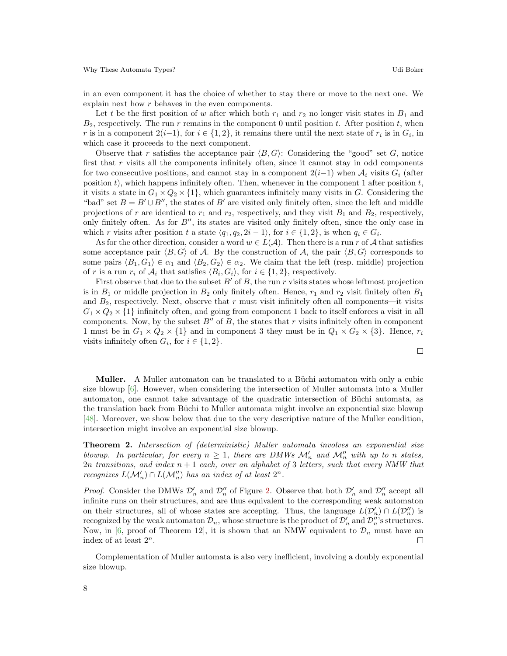in an even component it has the choice of whether to stay there or move to the next one. We explain next how r behaves in the even components.

Let t be the first position of w after which both  $r_1$  and  $r_2$  no longer visit states in  $B_1$  and  $B_2$ , respectively. The run r remains in the component 0 until position t. After position t, when r is in a component  $2(i-1)$ , for  $i \in \{1,2\}$ , it remains there until the next state of  $r_i$  is in  $G_i$ , in which case it proceeds to the next component.

Observe that r satisfies the acceptance pair  $\langle B, G \rangle$ : Considering the "good" set G, notice first that  $r$  visits all the components infinitely often, since it cannot stay in odd components for two consecutive positions, and cannot stay in a component  $2(i-1)$  when  $\mathcal{A}_i$  visits  $G_i$  (after position  $t$ ), which happens infinitely often. Then, whenever in the component 1 after position  $t$ , it visits a state in  $G_1 \times Q_2 \times \{1\}$ , which guarantees infinitely many visits in G. Considering the "bad" set  $B = B' \cup B''$ , the states of B' are visited only finitely often, since the left and middle projections of r are identical to  $r_1$  and  $r_2$ , respectively, and they visit  $B_1$  and  $B_2$ , respectively, only finitely often. As for  $B''$ , its states are visited only finitely often, since the only case in which r visits after position t a state  $\langle q_1, q_2, 2i - 1 \rangle$ , for  $i \in \{1, 2\}$ , is when  $q_i \in G_i$ .

As for the other direction, consider a word  $w \in L(\mathcal{A})$ . Then there is a run r of A that satisfies some acceptance pair  $\langle B, G \rangle$  of A. By the construction of A, the pair  $\langle B, G \rangle$  corresponds to some pairs  $\langle B_1, G_1 \rangle \in \alpha_1$  and  $\langle B_2, G_2 \rangle \in \alpha_2$ . We claim that the left (resp. middle) projection of r is a run  $r_i$  of  $\mathcal{A}_i$  that satisfies  $\langle B_i, G_i \rangle$ , for  $i \in \{1, 2\}$ , respectively.

First observe that due to the subset  $B'$  of B, the run r visits states whose leftmost projection is in  $B_1$  or middle projection in  $B_2$  only finitely often. Hence,  $r_1$  and  $r_2$  visit finitely often  $B_1$ and  $B_2$ , respectively. Next, observe that r must visit infinitely often all components—it visits  $G_1 \times Q_2 \times \{1\}$  infinitely often, and going from component 1 back to itself enforces a visit in all components. Now, by the subset  $B''$  of B, the states that r visits infinitely often in component 1 must be in  $G_1 \times Q_2 \times \{1\}$  and in component 3 they must be in  $Q_1 \times G_2 \times \{3\}$ . Hence,  $r_i$ visits infinitely often  $G_i$ , for  $i \in \{1, 2\}$ .

Muller. A Muller automaton can be translated to a Büchi automaton with only a cubic size blowup  $[6]$ . However, when considering the intersection of Muller automata into a Muller automaton, one cannot take advantage of the quadratic intersection of Büchi automata, as the translation back from Büchi to Muller automata might involve an exponential size blowup [\[48\]](#page-23-3). Moreover, we show below that due to the very descriptive nature of the Muller condition, intersection might involve an exponential size blowup.

<span id="page-7-1"></span>**Theorem 2.** Intersection of (deterministic) Muller automata involves an exponential size blowup. In particular, for every  $n \geq 1$ , there are DMWs  $\mathcal{M}'_n$  and  $\mathcal{M}''_n$  with up to n states,  $2n$  transitions, and index  $n + 1$  each, over an alphabet of 3 letters, such that every NMW that recognizes  $L(\mathcal{M}'_n) \cap L(\mathcal{M}''_n)$  has an index of at least  $2^n$ .

*Proof.* Consider the DMWs  $\mathcal{D}'_n$  and  $\mathcal{D}''_n$  of Figure [2.](#page-8-1) Observe that both  $\mathcal{D}'_n$  and  $\mathcal{D}''_n$  accept all infinite runs on their structures, and are thus equivalent to the corresponding weak automaton on their structures, all of whose states are accepting. Thus, the language  $L(\mathcal{D}'_n) \cap L(\mathcal{D}''_n)$  is recognized by the weak automaton  $\mathcal{D}_n$ , whose structure is the product of  $\mathcal{D}'_n$  and  $\mathcal{D}''_n$ 's structures. Now, in [\[6,](#page-21-10) proof of Theorem 12], it is shown that an NMW equivalent to  $\mathcal{D}_n$  must have an index of at least  $2^n$ .  $\Box$ 

<span id="page-7-0"></span>Complementation of Muller automata is also very inefficient, involving a doubly exponential size blowup.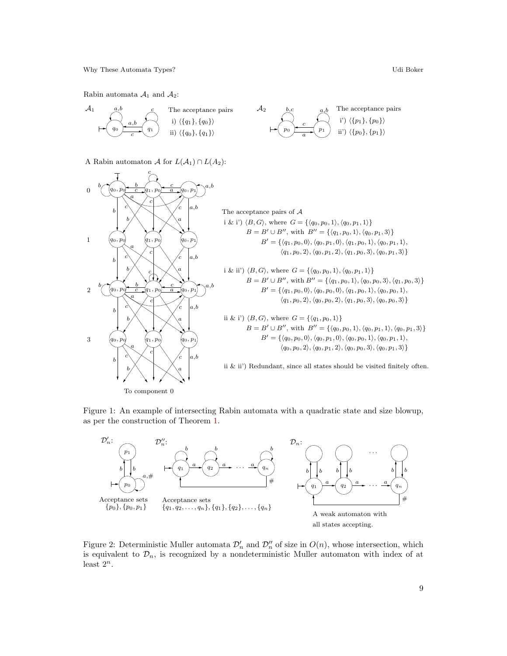Rabin automata  $\mathcal{A}_1$  and  $\mathcal{A}_2$ :



A Rabin automaton A for  $L(\mathcal{A}_1) \cap L(A_2)$ :



<span id="page-8-0"></span>



<span id="page-8-1"></span>Figure 2: Deterministic Muller automata  $\mathcal{D}'_n$  and  $\mathcal{D}''_n$  of size in  $O(n)$ , whose intersection, which is equivalent to  $\mathcal{D}_n$ , is recognized by a nondeterministic Muller automaton with index of at least  $2^n$ .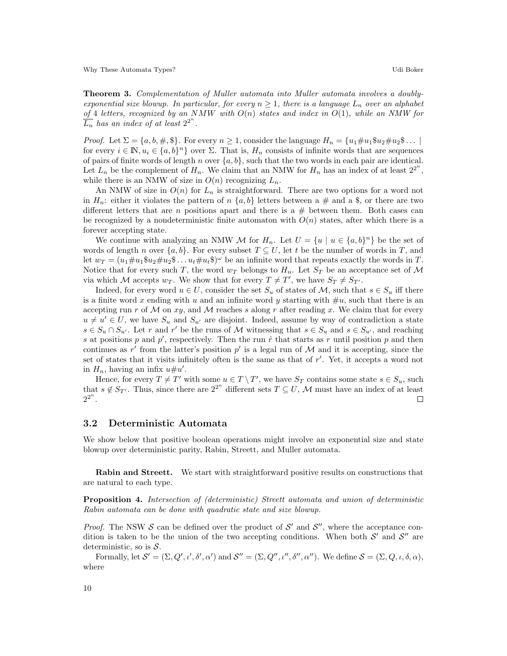Theorem 3. Complementation of Muller automata into Muller automata involves a doublyexponential size blowup. In particular, for every  $n \geq 1$ , there is a language  $L_n$  over an alphabet of 4 letters, recognized by an NMW with  $O(n)$  states and index in  $O(1)$ , while an NMW for  $\overline{\overline{L_n}}$  has an index of at least  $2^{2^n}$ .

*Proof.* Let  $\Sigma = \{a, b, \#, \$\}$ . For every  $n \geq 1$ , consider the language  $H_n = \{u_1 \# u_1 \$\ u_2 \# u_2 \$\dots\}$ for every  $i \in \mathbb{N}, u_i \in \{a, b\}^n\}$  over  $\Sigma$ . That is,  $H_n$  consists of infinite words that are sequences of pairs of finite words of length n over  $\{a, b\}$ , such that the two words in each pair are identical. Let  $L_n$  be the complement of  $H_n$ . We claim that an NMW for  $H_n$  has an index of at least  $2^{2^n}$ , while there is an NMW of size in  $O(n)$  recognizing  $L_n$ .

An NMW of size in  $O(n)$  for  $L_n$  is straightforward. There are two options for a word not in  $H_n$ : either it violates the pattern of  $n \{a, b\}$  letters between a  $\#$  and a \$, or there are two different letters that are n positions apart and there is a  $#$  between them. Both cases can be recognized by a nondeterministic finite automaton with  $O(n)$  states, after which there is a forever accepting state.

We continue with analyzing an NMW M for  $H_n$ . Let  $U = \{u \mid u \in \{a, b\}^n\}$  be the set of words of length n over  $\{a, b\}$ . For every subset  $T \subseteq U$ , let t be the number of words in T, and let  $w_T = (u_1 \# u_1 \$\nu_2 \# u_2 \$\dots u_t \# u_t \$\)^\omega$  be an infinite word that repeats exactly the words in T. Notice that for every such T, the word  $w_T$  belongs to  $H_n$ . Let  $S_T$  be an acceptance set of M via which M accepts  $w_T$ . We show that for every  $T \neq T'$ , we have  $S_T \neq S_{T'}$ .

Indeed, for every word  $u \in U$ , consider the set  $S_u$  of states of M, such that  $s \in S_u$  iff there is a finite word x ending with u and an infinite word y starting with  $\#u$ , such that there is an accepting run r of M on xy, and M reaches s along r after reading x. We claim that for every  $u \neq u' \in U$ , we have  $S_u$  and  $S_{u'}$  are disjoint. Indeed, assume by way of contradiction a state  $s \in S_u \cap S_{u'}$ . Let r and r' be the runs of M witnessing that  $s \in S_u$  and  $s \in S_{u'}$ , and reaching s at positions p and  $p'$ , respectively. Then the run  $\hat{r}$  that starts as r until position p and then continues as r' from the latter's position p' is a legal run of  $M$  and it is accepting, since the set of states that it visits infinitely often is the same as that of  $r'$ . Yet, it accepts a word not in  $H_n$ , having an infix  $u \# u'$ .

Hence, for every  $T \neq T'$  with some  $u \in T \setminus T'$ , we have  $S_T$  contains some state  $s \in S_u$ , such that  $s \notin S_{T'}$ . Thus, since there are  $2^{2^n}$  different sets  $T \subseteq U$ , M must have an index of at least  $2^{2^n}$ .  $\Box$ 

#### 3.2 Deterministic Automata

We show below that positive boolean operations might involve an exponential size and state blowup over deterministic parity, Rabin, Streett, and Muller automata.

Rabin and Streett. We start with straightforward positive results on constructions that are natural to each type.

<span id="page-9-0"></span>Proposition 4. Intersection of (deterministic) Streett automata and union of deterministic Rabin automata can be done with quadratic state and size blowup.

*Proof.* The NSW  $S$  can be defined over the product of  $S'$  and  $S''$ , where the acceptance condition is taken to be the union of the two accepting conditions. When both  $\mathcal{S}'$  and  $\mathcal{S}''$  are deterministic, so is  $S$ .

Formally, let  $\mathcal{S}' = (\Sigma, Q', \iota', \delta', \alpha')$  and  $\mathcal{S}'' = (\Sigma, Q'', \iota'', \delta'', \alpha'')$ . We define  $\mathcal{S} = (\Sigma, Q, \iota, \delta, \alpha)$ , where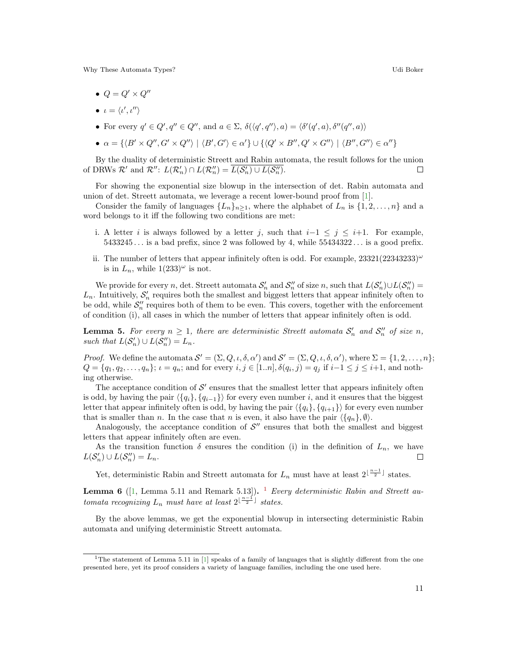- $Q = Q' \times Q''$
- $\iota = \langle \iota', \iota'' \rangle$
- For every  $q' \in Q', q'' \in Q''$ , and  $a \in \Sigma$ ,  $\delta(\langle q', q'' \rangle, a) = \langle \delta'(q', a), \delta''(q'', a) \rangle$

$$
\bullet \ \alpha = \{ \langle B' \times Q'', G' \times Q'' \rangle \mid \langle B', G' \rangle \in \alpha' \} \cup \{ \langle Q' \times B'', Q' \times G'' \rangle \mid \langle B'', G'' \rangle \in \alpha'' \}
$$

By the duality of deterministic Streett and Rabin automata, the result follows for the union of DRWs  $\mathcal{R}'$  and  $\mathcal{R}''$ :  $L(\mathcal{R}'_n) \cap L(\mathcal{R}''_n) = \overline{L(\mathcal{S}'_n) \cup L(\mathcal{S}''_n)}$ .  $\Box$ 

For showing the exponential size blowup in the intersection of det. Rabin automata and union of det. Streett automata, we leverage a recent lower-bound proof from [\[1\]](#page-21-11).

Consider the family of languages  $\{L_n\}_{n>1}$ , where the alphabet of  $L_n$  is  $\{1, 2, \ldots, n\}$  and a word belongs to it iff the following two conditions are met:

- i. A letter i is always followed by a letter j, such that  $i-1 \leq j \leq i+1$ . For example,  $5433245...$  is a bad prefix, since 2 was followed by 4, while  $55434322...$  is a good prefix.
- ii. The number of letters that appear infinitely often is odd. For example,  $23321(22343233)^{\omega}$ is in  $L_n$ , while  $1(233)^\omega$  is not.

We provide for every n, det. Streett automata  $S'_n$  and  $S''_n$  of size n, such that  $L(S'_n) \cup L(S''_n) =$  $L_n$ . Intuitively,  $S'_n$  requires both the smallest and biggest letters that appear infinitely often to be odd, while  $\mathcal{S}_n''$  requires both of them to be even. This covers, together with the enforcement of condition (i), all cases in which the number of letters that appear infinitely often is odd.

<span id="page-10-2"></span>**Lemma 5.** For every  $n \geq 1$ , there are deterministic Streett automata  $S'_n$  and  $S''_n$  of size n, such that  $L(S_n') \cup L(S_n'') = L_n$ .

*Proof.* We define the automata  $\mathcal{S}' = (\Sigma, Q, \iota, \delta, \alpha')$  and  $\mathcal{S}' = (\Sigma, Q, \iota, \delta, \alpha')$ , where  $\Sigma = \{1, 2, \ldots, n\};$  $Q = \{q_1, q_2, \ldots, q_n\}; \, \iota = q_n;$  and for every  $i, j \in [1..n], \delta(q_i, j) = q_j$  if  $i-1 \leq j \leq i+1$ , and nothing otherwise.

The acceptance condition of  $\mathcal{S}'$  ensures that the smallest letter that appears infinitely often is odd, by having the pair  $\langle \{q_i\}, \{q_{i-1}\}\rangle$  for every even number i, and it ensures that the biggest letter that appear infinitely often is odd, by having the pair  $\langle \{q_i\}, \{q_{i+1}\}\rangle$  for every even number that is smaller than n. In the case that n is even, it also have the pair  $\langle \{q_n\}, \emptyset \rangle$ .

Analogously, the acceptance condition of  $\mathcal{S}''$  ensures that both the smallest and biggest letters that appear infinitely often are even.

As the transition function  $\delta$  ensures the condition (i) in the definition of  $L_n$ , we have  $L(S_n') \cup L(S_n'') = L_n.$ П

Yet, deterministic Rabin and Streett automata for  $L_n$  must have at least  $2^{\lfloor \frac{n-1}{2} \rfloor}$  states.

<span id="page-10-3"></span>**Lemma 6** ([\[1,](#page-21-11) Lemma 5.[1](#page-10-1)1 and Remark 5.13]). <sup>1</sup> Every deterministic Rabin and Streett automata recognizing  $L_n$  must have at least  $2^{\lfloor \frac{n-1}{2} \rfloor}$  states.

<span id="page-10-0"></span>By the above lemmas, we get the exponential blowup in intersecting deterministic Rabin automata and unifying deterministic Streett automata.

<span id="page-10-1"></span><sup>&</sup>lt;sup>1</sup>The statement of Lemma 5.11 in  $[1]$  speaks of a family of languages that is slightly different from the one presented here, yet its proof considers a variety of language families, including the one used here.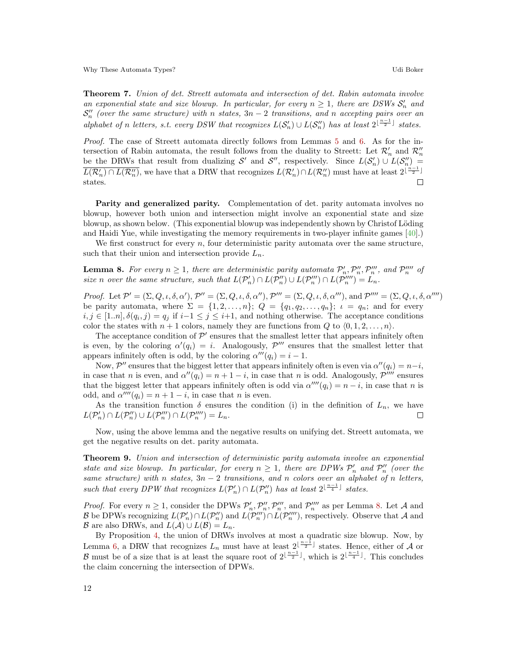Theorem 7. Union of det. Streett automata and intersection of det. Rabin automata involve an exponential state and size blowup. In particular, for every  $n \geq 1$ , there are DSWs  $S'_n$  and  $\mathcal{S}'_n$  (over the same structure) with n states,  $3n-2$  transitions, and n accepting pairs over an alphabet of n letters, s.t. every DSW that recognizes  $L(S'_n) \cup L(S''_n)$  has at least  $2^{\lfloor \frac{n-1}{2} \rfloor}$  states.

Proof. The case of Streett automata directly follows from Lemmas [5](#page-10-2) and [6.](#page-10-3) As for the intersection of Rabin automata, the result follows from the duality to Streett: Let  $\mathcal{R}'_n$  and  $\mathcal{R}''_n$ be the DRWs that result from dualizing S' and S'', respectively. Since  $L(S_n') \cup L(S_n'') =$  $\overline{L(\mathcal{R}_n') \cap L(\mathcal{R}_n'')}$ , we have that a DRW that recognizes  $L(\mathcal{R}_n') \cap L(\mathcal{R}_n'')$  must have at least  $2^{\lfloor \frac{n-1}{2} \rfloor}$  $\Box$ states.

Parity and generalized parity. Complementation of det. parity automata involves no blowup, however both union and intersection might involve an exponential state and size blowup, as shown below. (This exponential blowup was independently shown by Christof Löding and Haidi Yue, while investigating the memory requirements in two-player infinite games [\[40\]](#page-22-7).)

We first construct for every  $n$ , four deterministic parity automata over the same structure, such that their union and intersection provide  $L_n$ .

<span id="page-11-0"></span>**Lemma 8.** For every  $n \geq 1$ , there are deterministic parity automata  $\mathcal{P}'_n, \mathcal{P}''_n, \mathcal{P}'''_n$ , and  $\mathcal{P}'''_n$  of size n over the same structure, such that  $L(\mathcal{P}_n') \cap L(\mathcal{P}_n'') \cup L(\mathcal{P}_n''') \cap L(\mathcal{P}_n''') = L_n$ .

Proof. Let  $\mathcal{P}' = (\Sigma, Q, \iota, \delta, \alpha'), \mathcal{P}'' = (\Sigma, Q, \iota, \delta, \alpha''), \mathcal{P}''' = (\Sigma, Q, \iota, \delta, \alpha'''), \text{and } \mathcal{P}'''' = (\Sigma, Q, \iota, \delta, \alpha''')$ be parity automata, where  $\Sigma = \{1, 2, \ldots, n\}; Q = \{q_1, q_2, \ldots, q_n\}; \iota = q_n;$  and for every  $i, j \in [1..n], \delta(q_i, j) = q_j$  if  $i-1 \leq j \leq i+1$ , and nothing otherwise. The acceptance conditions color the states with  $n + 1$  colors, namely they are functions from Q to  $\langle 0, 1, 2, \ldots, n \rangle$ .

The acceptance condition of  $\mathcal{P}'$  ensures that the smallest letter that appears infinitely often is even, by the coloring  $\alpha'(q_i) = i$ . Analogously,  $\mathcal{P}'''$  ensures that the smallest letter that appears infinitely often is odd, by the coloring  $\alpha'''(q_i) = i - 1$ .

Now,  $\mathcal{P}''$  ensures that the biggest letter that appears infinitely often is even via  $\alpha''(q_i) = n-i$ , in case that n is even, and  $\alpha''(q_i) = n + 1 - i$ , in case that n is odd. Analogously,  $\mathcal{P}'''$  ensures that the biggest letter that appears infinitely often is odd via  $\alpha'''(q_i) = n - i$ , in case that n is odd, and  $\alpha'''(q_i) = n + 1 - i$ , in case that *n* is even.

As the transition function  $\delta$  ensures the condition (i) in the definition of  $L_n$ , we have  $L(\mathcal{P}_n') \cap L(\mathcal{P}_n'') \cup L(\mathcal{P}_n''') \cap L(\mathcal{P}_n'''') = L_n.$ П

Now, using the above lemma and the negative results on unifying det. Streett automata, we get the negative results on det. parity automata.

<span id="page-11-1"></span>Theorem 9. Union and intersection of deterministic parity automata involve an exponential state and size blowup. In particular, for every  $n \geq 1$ , there are DPWs  $\mathcal{P}'_n$  and  $\mathcal{P}''_n$  (over the same structure) with n states,  $3n-2$  transitions, and n colors over an alphabet of n letters, such that every DPW that recognizes  $L(\mathcal{P}_n') \cap L(\mathcal{P}_n'')$  has at least  $2^{\lfloor \frac{n-1}{4} \rfloor}$  states.

*Proof.* For every  $n \ge 1$ , consider the DPWs  $\mathcal{P}'_n, \mathcal{P}''_n, \mathcal{P}'''_n$ , and  $\mathcal{P}'''_n$  as per Lemma [8.](#page-11-0) Let A and *Froot.* For every  $n \geq 1$ , consider the Dr ws  $P_n, P_n, P_n$ , and  $P_n$  as per Lemma 8. Let A and  $\mathcal{B}$  be DPWs recognizing  $L(\mathcal{P}'_n) \cap L(\mathcal{P}''_n)$  and  $L(\mathcal{P}''_n) \cap L(\mathcal{P}''_n)$ , respectively. Observe that A and B are also DRWs, and  $L(\mathcal{A}) \cup L(\mathcal{B}) = L_n$ .

By Proposition [4,](#page-9-0) the union of DRWs involves at most a quadratic size blowup. Now, by Lemma [6,](#page-10-3) a DRW that recognizes  $L_n$  must have at least  $2^{\lfloor \frac{n-1}{2} \rfloor}$  states. Hence, either of A or B must be of a size that is at least the square root of  $2^{\lfloor \frac{n-1}{2} \rfloor}$ , which is  $2^{\lfloor \frac{n-1}{4} \rfloor}$ . This concludes the claim concerning the intersection of DPWs.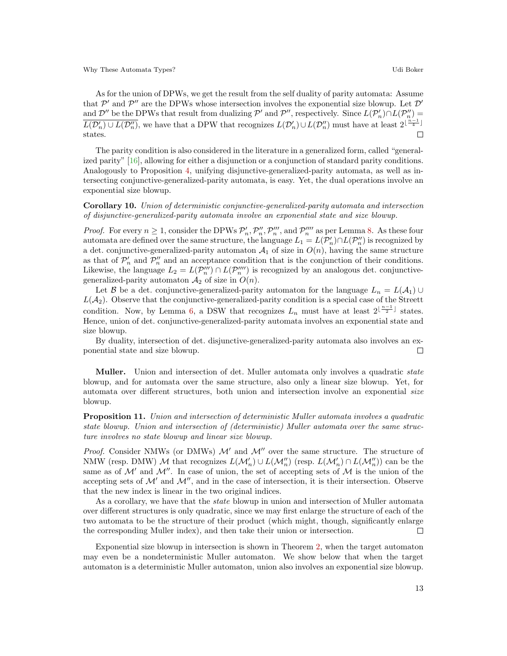As for the union of DPWs, we get the result from the self duality of parity automata: Assume that  $\mathcal{P}'$  and  $\mathcal{P}''$  are the DPWs whose intersection involves the exponential size blowup. Let  $\mathcal{D}'$ and  $\mathcal{D}''$  be the DPWs that result from dualizing  $\mathcal{P}'$  and  $\mathcal{P}''$ , respectively. Since  $L(\mathcal{P}'_n) \cap L(\mathcal{P}''_n) =$  $\overline{L(\mathcal{D}'_n) \cup L(\mathcal{D}''_n)}$ , we have that a DPW that recognizes  $L(\mathcal{D}'_n) \cup L(\mathcal{D}''_n)$  must have at least  $2^{\lfloor \frac{n-1}{4} \rfloor}$ states. П

The parity condition is also considered in the literature in a generalized form, called "generalized parity" [\[16\]](#page-21-12), allowing for either a disjunction or a conjunction of standard parity conditions. Analogously to Proposition [4,](#page-9-0) unifying disjunctive-generalized-parity automata, as well as intersecting conjunctive-generalized-parity automata, is easy. Yet, the dual operations involve an exponential size blowup.

Corollary 10. Union of deterministic conjunctive-generalized-parity automata and intersection of disjunctive-generalized-parity automata involve an exponential state and size blowup.

*Proof.* For every  $n \geq 1$ , consider the DPWs  $\mathcal{P}'_n$ ,  $\mathcal{P}''_n$ ,  $\mathcal{P}'''_n$ , and  $\mathcal{P}'''_n$  as per Lemma [8.](#page-11-0) As these four automata are defined over the same structure, the language  $L_1 = L(\mathcal{P}'_n) \cap L(\mathcal{P}''_n)$  is recognized by a det. conjunctive-generalized-parity automaton  $A_1$  of size in  $O(n)$ , having the same structure as that of  $\mathcal{P}'_n$  and  $\mathcal{P}''_n$  and an acceptance condition that is the conjunction of their conditions. Likewise, the language  $L_2 = L(\mathcal{P}_n''') \cap L(\mathcal{P}_n'''')$  is recognized by an analogous det. conjunctivegeneralized-parity automaton  $A_2$  of size in  $O(n)$ .

Let B be a det. conjunctive-generalized-parity automaton for the language  $L_n = L(\mathcal{A}_1) \cup$  $L(\mathcal{A}_2)$ . Observe that the conjunctive-generalized-parity condition is a special case of the Streett condition. Now, by Lemma [6,](#page-10-3) a DSW that recognizes  $L_n$  must have at least  $2^{\lfloor \frac{n-1}{2} \rfloor}$  states. Hence, union of det. conjunctive-generalized-parity automata involves an exponential state and size blowup.

By duality, intersection of det. disjunctive-generalized-parity automata also involves an exponential state and size blowup.  $\Box$ 

**Muller.** Union and intersection of det. Muller automata only involves a quadratic *state* blowup, and for automata over the same structure, also only a linear size blowup. Yet, for automata over different structures, both union and intersection involve an exponential size blowup.

Proposition 11. Union and intersection of deterministic Muller automata involves a quadratic state blowup. Union and intersection of (deterministic) Muller automata over the same structure involves no state blowup and linear size blowup.

*Proof.* Consider NMWs (or DMWs)  $\mathcal{M}'$  and  $\mathcal{M}''$  over the same structure. The structure of NMW (resp. DMW)  $M$  that recognizes  $L(\mathcal{M}'_n) \cup L(\mathcal{M}''_n)$  (resp.  $L(\mathcal{M}'_n) \cap L(\mathcal{M}''_n)$ ) can be the same as of  $\mathcal{M}'$  and  $\mathcal{M}''$ . In case of union, the set of accepting sets of  $\mathcal M$  is the union of the accepting sets of  $\mathcal{M}'$  and  $\mathcal{M}''$ , and in the case of intersection, it is their intersection. Observe that the new index is linear in the two original indices.

As a corollary, we have that the *state* blowup in union and intersection of Muller automata over different structures is only quadratic, since we may first enlarge the structure of each of the two automata to be the structure of their product (which might, though, significantly enlarge the corresponding Muller index), and then take their union or intersection.  $\Box$ 

<span id="page-12-0"></span>Exponential size blowup in intersection is shown in Theorem [2,](#page-7-1) when the target automaton may even be a nondeterministic Muller automaton. We show below that when the target automaton is a deterministic Muller automaton, union also involves an exponential size blowup.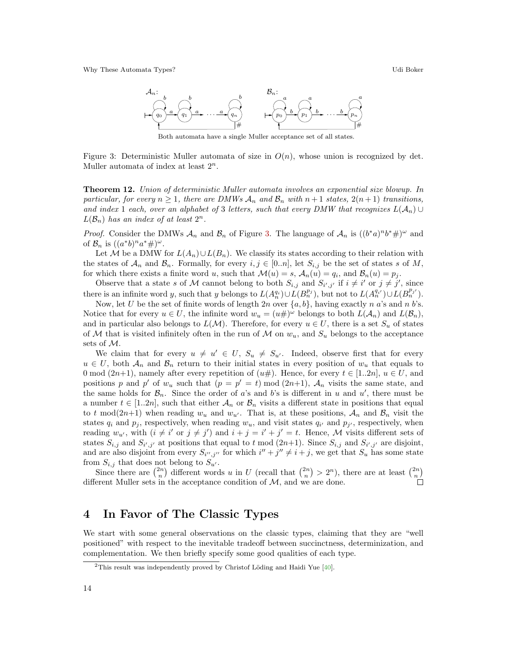

<span id="page-13-1"></span>Both automata have a single Muller acceptance set of all states.

Figure 3: Deterministic Muller automata of size in  $O(n)$ , whose union is recognized by det. Muller automata of index at least  $2^n$ .

Theorem 12. Union of deterministic Muller automata involves an exponential size blowup. In particular, for every  $n \geq 1$ , there are DMWs  $\mathcal{A}_n$  and  $\mathcal{B}_n$  with  $n+1$  states,  $2(n+1)$  transitions, and index 1 each, over an alphabet of 3 letters, such that every DMW that recognizes  $L(\mathcal{A}_n)$  $L(\mathcal{B}_n)$  has an index of at least  $2^n$ .

*Proof.* Consider the DMWs  $\mathcal{A}_n$  and  $\mathcal{B}_n$  of Figure [3.](#page-13-1) The language of  $\mathcal{A}_n$  is  $((b^*a)^n b^* \#)^{\omega}$  and of  $\mathcal{B}_n$  is  $((a^*b)^n a^* \#)^{\omega}$ .

Let M be a DMW for  $L(A_n) \cup L(B_n)$ . We classify its states according to their relation with the states of  $\mathcal{A}_n$  and  $\mathcal{B}_n$ . Formally, for every  $i, j \in [0..n]$ , let  $S_{i,j}$  be the set of states s of M, for which there exists a finite word u, such that  $\mathcal{M}(u) = s$ ,  $\mathcal{A}_n(u) = q_i$ , and  $\mathcal{B}_n(u) = p_j$ .

Observe that a state s of M cannot belong to both  $S_{i,j}$  and  $S_{i',j'}$  if  $i \neq i'$  or  $j \neq j'$ , since there is an infinite word y, such that y belongs to  $L(A_n^{q_i}) \cup L(B_n^{p_j})$ , but not to  $L(A_n^{q_i'}) \cup L(B_n^{p_j'})$ .

Now, let U be the set of finite words of length  $2n$  over  $\{a, b\}$ , having exactly n a's and n b's. Notice that for every  $u \in U$ , the infinite word  $w_u = (u \#)^{\omega}$  belongs to both  $L(A_n)$  and  $L(\mathcal{B}_n)$ , and in particular also belongs to  $L(\mathcal{M})$ . Therefore, for every  $u \in U$ , there is a set  $S_u$  of states of M that is visited infinitely often in the run of M on  $w_u$ , and  $S_u$  belongs to the acceptance sets of M.

We claim that for every  $u \neq u' \in U$ ,  $S_u \neq S_{u'}$ . Indeed, observe first that for every  $u \in U$ , both  $\mathcal{A}_n$  and  $\mathcal{B}_n$  return to their initial states in every position of  $w_u$  that equals to 0 mod (2n+1), namely after every repetition of  $(u#)$ . Hence, for every  $t \in [1..2n]$ ,  $u \in U$ , and positions p and p' of  $w_u$  such that  $(p = p' = t) \mod (2n+1)$ ,  $\mathcal{A}_n$  visits the same state, and the same holds for  $\mathcal{B}_n$ . Since the order of a's and b's is different in u and u', there must be a number  $t \in [1..2n]$ , such that either  $\mathcal{A}_n$  or  $\mathcal{B}_n$  visits a different state in positions that equal to t mod(2n+1) when reading  $w_u$  and  $w_{u'}$ . That is, at these positions,  $A_n$  and  $B_n$  visit the states  $q_i$  and  $p_j$ , respectively, when reading  $w_u$ , and visit states  $q_i$  and  $p_j$ , respectively, when reading  $w_{u'}$ , with  $(i \neq i'$  or  $j \neq j'$  and  $i + j = i' + j' = t$ . Hence, M visits different sets of states  $S_{i,j}$  and  $S_{i',j'}$  at positions that equal to t mod  $(2n+1)$ . Since  $S_{i,j}$  and  $S_{i',j'}$  are disjoint, and are also disjoint from every  $S_{i'',j''}$  for which  $i'' + j'' \neq i + j$ , we get that  $S_u$  has some state from  $S_{i,j}$  that does not belong to  $S_{u'}$ .

Since there are  $\binom{2n}{n}$  different words u in U (recall that  $\binom{2n}{n} > 2^n$ ), there are at least  $\binom{2n}{n}$ different Muller sets in the acceptance condition of  $M$ , and we are done.

# <span id="page-13-0"></span>4 In Favor of The Classic Types

We start with some general observations on the classic types, claiming that they are "well positioned" with respect to the inevitable tradeoff between succinctness, determinization, and complementation. We then briefly specify some good qualities of each type.

<span id="page-13-2"></span><sup>&</sup>lt;sup>2</sup>This result was independently proved by Christof Löding and Haidi Yue  $[40]$ .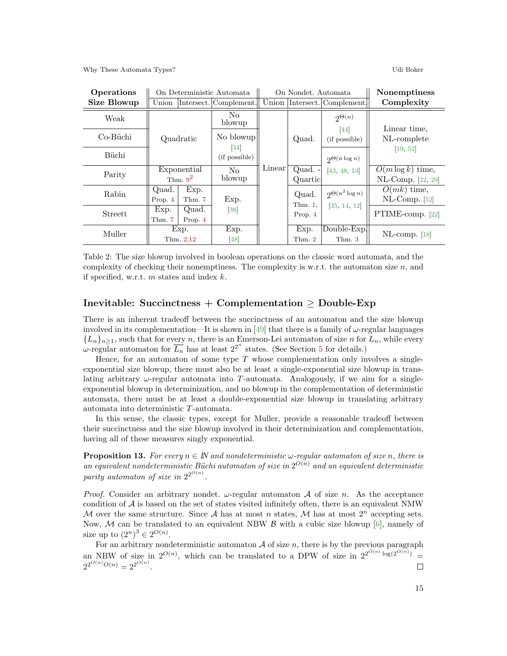| Operations         |                           |                  | On Deterministic Automata          | On Nondet. Automata |                     |                              | Nonemptiness                             |
|--------------------|---------------------------|------------------|------------------------------------|---------------------|---------------------|------------------------------|------------------------------------------|
| <b>Size Blowup</b> | Union                     |                  | Intersect. Complement.             |                     |                     | Union Intersect. Complement. | Complexity                               |
| Weak               |                           |                  | No.<br>blowup                      |                     |                     | $2^{\Theta(n)}$              | Linear time.                             |
| Co-Büchi           | Quadratic                 |                  | No blowup                          |                     | Quad.               | 44<br>(if possible)          | NL-complete                              |
| Büchi              |                           |                  | $\left 34\right $<br>(if possible) |                     |                     | $\mathfrak{O}(n \log n)$     | [19, 52]                                 |
| Parity             | Exponential<br>Thm. $9^2$ |                  | No.<br>blowup                      | Linear              | Quad. -<br>Quartic  | [43, 48, 13]                 | $O(m \log k)$ time,<br>NL-Comp. [22, 29] |
| Rabin              | Quad.<br>Prop. 4          | Exp.<br>Thm. 7   | Exp.                               |                     | Quad.<br>Thm. $1$ , | $2^{\Theta(n^2 \log n)}$     | $O(mk)$ time,<br>$NL-Comp.$ [52]         |
| Streett            | Exp.<br>Thm. 7            | Quad.<br>Prop. 4 | 38                                 |                     | Prop. 4             | [35, 14, 12]                 | PTIME-comp. [22]                         |
| Muller             | Exp.<br>Thm. 2,12         |                  | Exp.<br>48                         |                     | Exp.<br>Thm. $2$    | Double-Exp.<br>Thm. 3        | $NL$ -comp. [18]                         |

<span id="page-14-0"></span>Table 2: The size blowup involved in boolean operations on the classic word automata, and the complexity of checking their nonemptiness. The complexity is w.r.t. the automaton size  $n$ , and if specified, w.r.t.  $m$  states and index  $k$ .

### Inevitable: Succinctness + Complementation  $\geq$  Double-Exp

There is an inherent tradeoff between the succinctness of an automaton and the size blowup involved in its complementation—It is shown in [\[49\]](#page-23-2) that there is a family of  $\omega$ -regular languages  ${L_n}_{n \geq 1}$ , such that for every n, there is an Emerson-Lei automaton of size n for  $L_n$ , while every  $ω$ -regular automaton for  $\overline{L_n}$  has at least  $2^{2^n}$  states. (See Section [5](#page-16-0) for details.)

Hence, for an automaton of some type  $T$  whose complementation only involves a singleexponential size blowup, there must also be at least a single-exponential size blowup in translating arbitrary  $\omega$ -regular automata into T-automata. Analogously, if we aim for a singleexponential blowup in determinization, and no blowup in the complementation of deterministic automata, there must be at least a double-exponential size blowup in translating arbitrary automata into deterministic T-automata.

In this sense, the classic types, except for Muller, provide a reasonable tradeoff between their succinctness and the size blowup involved in their determinization and complementation, having all of these measures singly exponential.

<span id="page-14-1"></span>**Proposition 13.** For every  $n \in \mathbb{N}$  and nondeterministic  $\omega$ -regular automaton of size n, there is an equivalent nondeterministic Büchi automaton of size in  $2^{O(n)}$  and an equivalent deterministic parity automaton of size in  $2^{2^{O(n)}}$ .

*Proof.* Consider an arbitrary nondet.  $\omega$ -regular automaton  $\mathcal A$  of size n. As the acceptance condition of  $A$  is based on the set of states visited infinitely often, there is an equivalent NMW M over the same structure. Since A has at most n states, M has at most  $2^n$  accepting sets. Now, M can be translated to an equivalent NBW  $\beta$  with a cubic size blowup [\[6\]](#page-21-10), namely of size up to  $(2^n)^3 \in 2^{O(n)}$ .

For an arbitrary nondeterministic automaton  $A$  of size n, there is by the previous paragraph an NBW of size in  $2^{O(n)}$ , which can be translated to a DPW of size in  $2^{2^{O(n)} \log(2^{O(n)})}$  $2^{2^{O(n)}O(n)} = 2^{2^{O(n)}}.$  $\Box$ 

15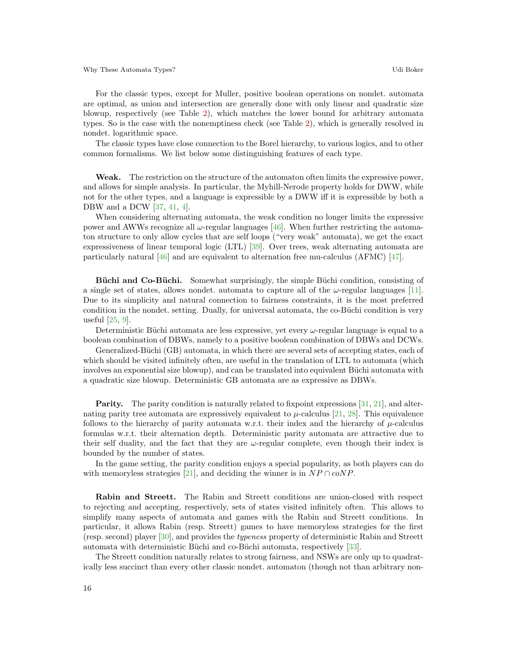For the classic types, except for Muller, positive boolean operations on nondet. automata are optimal, as union and intersection are generally done with only linear and quadratic size blowup, respectively (see Table [2\)](#page-14-0), which matches the lower bound for arbitrary automata types. So is the case with the nonemptiness check (see Table [2\)](#page-14-0), which is generally resolved in nondet. logarithmic space.

The classic types have close connection to the Borel hierarchy, to various logics, and to other common formalisms. We list below some distinguishing features of each type.

Weak. The restriction on the structure of the automaton often limits the expressive power, and allows for simple analysis. In particular, the Myhill-Nerode property holds for DWW, while not for the other types, and a language is expressible by a DWW iff it is expressible by both a DBW and a DCW [\[37,](#page-22-14) [41,](#page-22-15) [4\]](#page-21-17).

When considering alternating automata, the weak condition no longer limits the expressive power and AWWs recognize all  $\omega$ -regular languages [\[46\]](#page-23-5). When further restricting the automaton structure to only allow cycles that are self loops ("very weak" automata), we get the exact expressiveness of linear temporal logic (LTL) [\[39\]](#page-22-16). Over trees, weak alternating automata are particularly natural [\[46\]](#page-23-5) and are equivalent to alternation free mu-calculus (AFMC) [\[47\]](#page-23-6).

Büchi and Co-Büchi. Somewhat surprisingly, the simple Büchi condition, consisting of a single set of states, allows nondet. automata to capture all of the  $\omega$ -regular languages [\[11\]](#page-21-18). Due to its simplicity and natural connection to fairness constraints, it is the most preferred condition in the nondet. setting. Dually, for universal automata, the co-Büchi condition is very useful [\[25,](#page-22-17) [9\]](#page-21-19).

Deterministic Büchi automata are less expressive, yet every  $\omega$ -regular language is equal to a boolean combination of DBWs, namely to a positive boolean combination of DBWs and DCWs.

Generalized-Büchi (GB) automata, in which there are several sets of accepting states, each of which should be visited infinitely often, are useful in the translation of LTL to automata (which involves an exponential size blowup), and can be translated into equivalent Büchi automata with a quadratic size blowup. Deterministic GB automata are as expressive as DBWs.

Parity. The parity condition is naturally related to fixpoint expressions [\[31,](#page-22-18) [21\]](#page-22-19), and alternating parity tree automata are expressively equivalent to  $\mu$ -calculus [\[21,](#page-22-19) [28\]](#page-22-20). This equivalence follows to the hierarchy of parity automata w.r.t. their index and the hierarchy of  $\mu$ -calculus formulas w.r.t. their alternation depth. Deterministic parity automata are attractive due to their self duality, and the fact that they are  $\omega$ -regular complete, even though their index is bounded by the number of states.

In the game setting, the parity condition enjoys a special popularity, as both players can do with memoryless strategies [\[21\]](#page-22-19), and deciding the winner is in  $NP \cap coNP$ .

Rabin and Streett. The Rabin and Streett conditions are union-closed with respect to rejecting and accepting, respectively, sets of states visited infinitely often. This allows to simplify many aspects of automata and games with the Rabin and Streett conditions. In particular, it allows Rabin (resp. Streett) games to have memoryless strategies for the first (resp. second) player [\[30\]](#page-22-21), and provides the typeness property of deterministic Rabin and Streett automata with deterministic Büchi and co-Büchi automata, respectively [\[33\]](#page-22-22).

The Streett condition naturally relates to strong fairness, and NSWs are only up to quadratically less succinct than every other classic nondet. automaton (though not than arbitrary non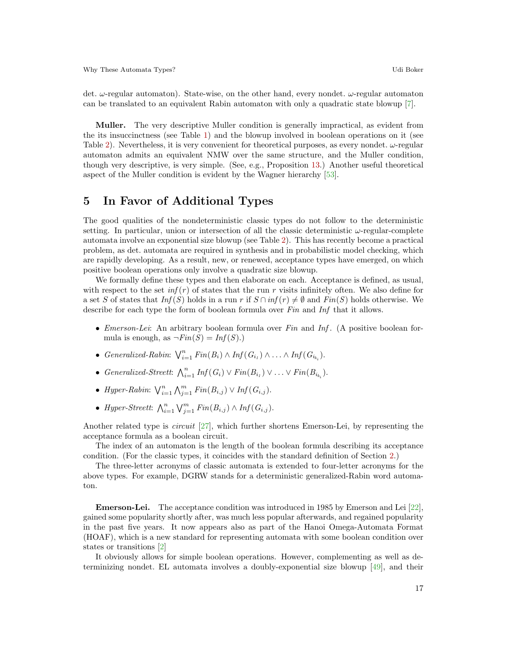det.  $\omega$ -regular automaton). State-wise, on the other hand, every nondet.  $\omega$ -regular automaton can be translated to an equivalent Rabin automaton with only a quadratic state blowup [\[7\]](#page-21-9).

Muller. The very descriptive Muller condition is generally impractical, as evident from the its insuccinctness (see Table [1\)](#page-3-0) and the blowup involved in boolean operations on it (see Table [2\)](#page-14-0). Nevertheless, it is very convenient for theoretical purposes, as every nondet.  $\omega$ -regular automaton admits an equivalent NMW over the same structure, and the Muller condition, though very descriptive, is very simple. (See, e.g., Proposition [13.](#page-14-1)) Another useful theoretical aspect of the Muller condition is evident by the Wagner hierarchy [\[53\]](#page-23-7).

## <span id="page-16-0"></span>5 In Favor of Additional Types

The good qualities of the nondeterministic classic types do not follow to the deterministic setting. In particular, union or intersection of all the classic deterministic  $\omega$ -regular-complete automata involve an exponential size blowup (see Table [2\)](#page-14-0). This has recently become a practical problem, as det. automata are required in synthesis and in probabilistic model checking, which are rapidly developing. As a result, new, or renewed, acceptance types have emerged, on which positive boolean operations only involve a quadratic size blowup.

We formally define these types and then elaborate on each. Acceptance is defined, as usual, with respect to the set  $inf(r)$  of states that the run r visits infinitely often. We also define for a set S of states that  $Inf(S)$  holds in a run r if  $S \cap inf(r) \neq \emptyset$  and  $Fin(S)$  holds otherwise. We describe for each type the form of boolean formula over Fin and Inf that it allows.

- *Emerson-Lei:* An arbitrary boolean formula over Fin and Inf. (A positive boolean formula is enough, as  $\neg Fin(S) = Inf(S)$ .
- Generalized-Rabin:  $\bigvee_{i=1}^{n} Fin(B_i) \wedge Inf(G_{i_1}) \wedge ... \wedge Inf(G_{i_{k_i}})$ .
- Generalized-Streett:  $\bigwedge_{i=1}^{n} Inf(G_i) \vee Fin(B_{i_1}) \vee \ldots \vee Fin(B_{i_{k_i}}).$
- Hyper-Rabin:  $\bigvee_{i=1}^{n} \bigwedge_{j=1}^{m} Fin(B_{i,j}) \vee Inf(G_{i,j}).$
- Hyper-Streett:  $\bigwedge_{i=1}^n \bigvee_{j=1}^m Fin(B_{i,j}) \wedge Inf(G_{i,j}).$

Another related type is circuit [\[27\]](#page-22-23), which further shortens Emerson-Lei, by representing the acceptance formula as a boolean circuit.

The index of an automaton is the length of the boolean formula describing its acceptance condition. (For the classic types, it coincides with the standard definition of Section [2.](#page-2-0))

The three-letter acronyms of classic automata is extended to four-letter acronyms for the above types. For example, DGRW stands for a deterministic generalized-Rabin word automaton.

Emerson-Lei. The acceptance condition was introduced in 1985 by Emerson and Lei [\[22\]](#page-22-3), gained some popularity shortly after, was much less popular afterwards, and regained popularity in the past five years. It now appears also as part of the Hanoi Omega-Automata Format (HOAF), which is a new standard for representing automata with some boolean condition over states or transitions [\[2\]](#page-21-3)

It obviously allows for simple boolean operations. However, complementing as well as determinizing nondet. EL automata involves a doubly-exponential size blowup [\[49\]](#page-23-2), and their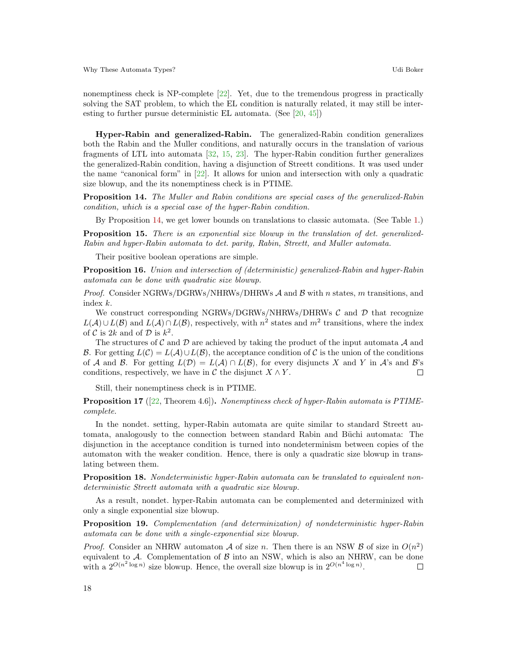nonemptiness check is NP-complete [\[22\]](#page-22-3). Yet, due to the tremendous progress in practically solving the SAT problem, to which the EL condition is naturally related, it may still be interesting to further pursue deterministic EL automata. (See [\[20,](#page-21-5) [45\]](#page-22-5))

Hyper-Rabin and generalized-Rabin. The generalized-Rabin condition generalizes both the Rabin and the Muller conditions, and naturally occurs in the translation of various fragments of LTL into automata [\[32,](#page-22-4) [15,](#page-21-6) [23\]](#page-22-6). The hyper-Rabin condition further generalizes the generalized-Rabin condition, having a disjunction of Streett conditions. It was used under the name "canonical form" in [\[22\]](#page-22-3). It allows for union and intersection with only a quadratic size blowup, and the its nonemptiness check is in PTIME.

<span id="page-17-0"></span>Proposition 14. The Muller and Rabin conditions are special cases of the generalized-Rabin condition, which is a special case of the hyper-Rabin condition.

By Proposition [14,](#page-17-0) we get lower bounds on translations to classic automata. (See Table [1.](#page-3-0))

Proposition 15. There is an exponential size blowup in the translation of det. generalized-Rabin and hyper-Rabin automata to det. parity, Rabin, Streett, and Muller automata.

Their positive boolean operations are simple.

<span id="page-17-3"></span>Proposition 16. Union and intersection of (deterministic) generalized-Rabin and hyper-Rabin automata can be done with quadratic size blowup.

*Proof.* Consider NGRWs/DGRWs/NHRWs/DHRWs  $\mathcal A$  and  $\mathcal B$  with n states, m transitions, and index k.

We construct corresponding NGRWs/DGRWs/NHRWs/DHRWs  $\mathcal{C}$  and  $\mathcal{D}$  that recognize  $L(\mathcal{A}) \cup L(\mathcal{B})$  and  $L(\mathcal{A}) \cap L(\mathcal{B})$ , respectively, with  $n^2$  states and  $m^2$  transitions, where the index of C is 2k and of D is  $k^2$ .

The structures of C and D are achieved by taking the product of the input automata A and B. For getting  $L(\mathcal{C}) = L(\mathcal{A}) \cup L(\mathcal{B})$ , the acceptance condition of C is the union of the conditions of A and B. For getting  $L(\mathcal{D}) = L(\mathcal{A}) \cap L(\mathcal{B})$ , for every disjuncts X and Y in A's and B's conditions, respectively, we have in  $\mathcal C$  the disjunct  $X \wedge Y$ .  $\Box$ 

Still, their nonemptiness check is in PTIME.

Proposition 17 ([\[22,](#page-22-3) Theorem 4.6]). Nonemptiness check of hyper-Rabin automata is PTIMEcomplete.

In the nondet. setting, hyper-Rabin automata are quite similar to standard Streett automata, analogously to the connection between standard Rabin and Büchi automata: The disjunction in the acceptance condition is turned into nondeterminism between copies of the automaton with the weaker condition. Hence, there is only a quadratic size blowup in translating between them.

<span id="page-17-1"></span>Proposition 18. Nondeterministic hyper-Rabin automata can be translated to equivalent nondeterministic Streett automata with a quadratic size blowup.

As a result, nondet. hyper-Rabin automata can be complemented and determinized with only a single exponential size blowup.

<span id="page-17-2"></span>Proposition 19. Complementation (and determinization) of nondeterministic hyper-Rabin automata can be done with a single-exponential size blowup.

*Proof.* Consider an NHRW automaton A of size n. Then there is an NSW B of size in  $O(n^2)$ equivalent to  $A$ . Complementation of  $B$  into an NSW, which is also an NHRW, can be done with a  $2^{O(n^2 \log n)}$  size blowup. Hence, the overall size blowup is in  $2^{O(n^4 \log n)}$ .  $\Box$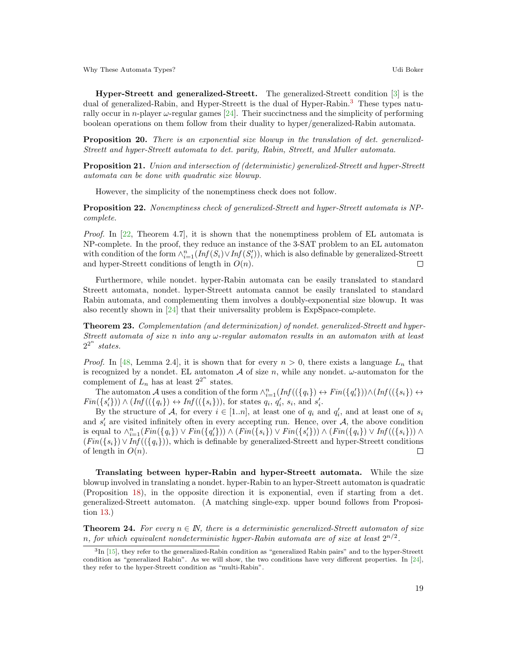Hyper-Streett and generalized-Streett. The generalized-Streett condition [\[3\]](#page-21-4) is the dual of generalized-Rabin, and Hyper-Streett is the dual of Hyper-Rabin.[3](#page-18-1) These types naturally occur in *n*-player  $\omega$ -regular games [\[24\]](#page-22-24). Their succinctness and the simplicity of performing boolean operations on them follow from their duality to hyper/generalized-Rabin automata.

**Proposition 20.** There is an exponential size blowup in the translation of det. generalized-Streett and hyper-Streett automata to det. parity, Rabin, Streett, and Muller automata.

<span id="page-18-3"></span>Proposition 21. Union and intersection of (deterministic) generalized-Streett and hyper-Streett automata can be done with quadratic size blowup.

However, the simplicity of the nonemptiness check does not follow.

<span id="page-18-4"></span>Proposition 22. Nonemptiness check of generalized-Streett and hyper-Streett automata is NPcomplete.

*Proof.* In [\[22,](#page-22-3) Theorem 4.7], it is shown that the nonemptiness problem of EL automata is NP-complete. In the proof, they reduce an instance of the 3-SAT problem to an EL automaton with condition of the form  $\wedge_{i=1}^n (Inf(S_i) \vee Inf(S'_i))$ , which is also definable by generalized-Streett and hyper-Streett conditions of length in  $O(n)$ .  $\Box$ 

Furthermore, while nondet. hyper-Rabin automata can be easily translated to standard Streett automata, nondet. hyper-Streett automata cannot be easily translated to standard Rabin automata, and complementing them involves a doubly-exponential size blowup. It was also recently shown in [\[24\]](#page-22-24) that their universality problem is ExpSpace-complete.

<span id="page-18-2"></span>Theorem 23. Complementation (and determinization) of nondet. generalized-Streett and hyper-Streett automata of size n into any  $\omega$ -regular automaton results in an automaton with at least  $2^{2^n}$  states.

*Proof.* In [\[48,](#page-23-3) Lemma 2.4], it is shown that for every  $n > 0$ , there exists a language  $L_n$  that is recognized by a nondet. EL automaton A of size n, while any nondet.  $\omega$ -automaton for the complement of  $L_n$  has at least  $2^{2^n}$  states.

The automaton A uses a condition of the form  $\wedge_{i=1}^{n}(Inf((\{q_i\}) \leftrightarrow Fin(\{q'_i\})) \wedge (Inf((\{s_i\}) \leftrightarrow \{s_i\})$  $Fin({s'_i})\rangle \wedge (Inf((\lbrace q_i \rbrace) \leftrightarrow Inf((\lbrace s_i \rbrace)),$  for states  $q_i, q'_i, s_i$ , and  $s'_i$ .

By the structure of A, for every  $i \in [1..n]$ , at least one of  $q_i$  and  $q'_i$ , and at least one of  $s_i$ and  $s_i'$  are visited infinitely often in every accepting run. Hence, over  $A$ , the above condition is equal to  $\wedge_{i=1}^{n} (Fin({q_i}) \vee Fin({q'_i})) \wedge (Fin({s_i}) \vee Fin({s'_i})) \wedge (Fin({q_i}) \vee Inf({s_i})) \wedge$  $(Fin({s_i})\vee Inf ((q_i)),$  which is definable by generalized-Streett and hyper-Streett conditions of length in  $O(n)$ .  $\Box$ 

Translating between hyper-Rabin and hyper-Streett automata. While the size blowup involved in translating a nondet. hyper-Rabin to an hyper-Streett automaton is quadratic (Proposition [18\)](#page-17-1), in the opposite direction it is exponential, even if starting from a det. generalized-Streett automaton. (A matching single-exp. upper bound follows from Proposition [13.](#page-14-1))

<span id="page-18-0"></span>**Theorem 24.** For every  $n \in \mathbb{N}$ , there is a deterministic generalized-Streett automaton of size n, for which equivalent nondeterministic hyper-Rabin automata are of size at least  $2^{n/2}$ .

<span id="page-18-1"></span><sup>&</sup>lt;sup>3</sup>In [\[15\]](#page-21-6), they refer to the generalized-Rabin condition as "generalized Rabin pairs" and to the hyper-Streett condition as "generalized Rabin". As we will show, the two conditions have very different properties. In [\[24\]](#page-22-24), they refer to the hyper-Streett condition as "multi-Rabin".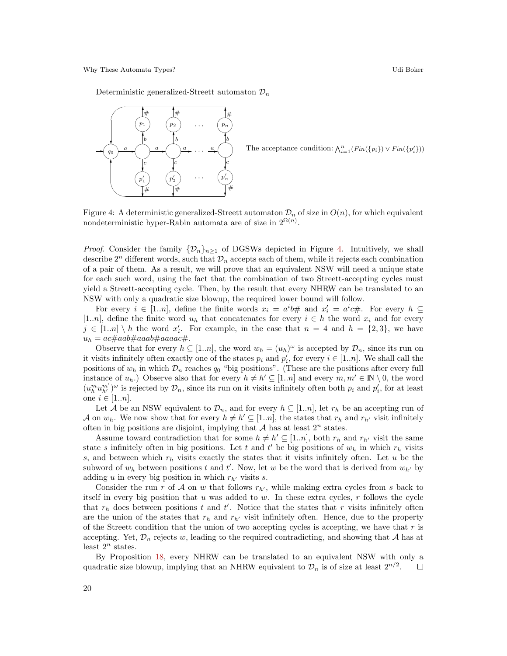Deterministic generalized-Streett automaton  $\mathcal{D}_n$ 



The acceptance condition:  $\bigwedge_{i=1}^{n} (Fin({p_i}) \vee Fin({p'_i}))$ 

<span id="page-19-0"></span>Figure 4: A deterministic generalized-Streett automaton  $\mathcal{D}_n$  of size in  $O(n)$ , for which equivalent nondeterministic hyper-Rabin automata are of size in  $2^{\Omega(n)}$ .

*Proof.* Consider the family  $\{\mathcal{D}_n\}_{n\geq 1}$  of DGSWs depicted in Figure [4.](#page-19-0) Intuitively, we shall describe  $2^n$  different words, such that  $\mathcal{D}_n$  accepts each of them, while it rejects each combination of a pair of them. As a result, we will prove that an equivalent NSW will need a unique state for each such word, using the fact that the combination of two Streett-accepting cycles must yield a Streett-accepting cycle. Then, by the result that every NHRW can be translated to an NSW with only a quadratic size blowup, the required lower bound will follow.

For every  $i \in [1..n]$ , define the finite words  $x_i = a^i b \#$  and  $x'_i = a^i c \#$ . For every  $h \subseteq$ [1..n], define the finite word  $u_h$  that concatenates for every  $i \in h$  the word  $x_i$  and for every  $j \in [1..n] \setminus h$  the word  $x'_i$ . For example, in the case that  $n = 4$  and  $h = \{2,3\}$ , we have u<sup>h</sup> = ac#aab#aaab#aaaac#.

Observe that for every  $h \subseteq [1..n]$ , the word  $w_h = (u_h)^\omega$  is accepted by  $\mathcal{D}_n$ , since its run on it visits infinitely often exactly one of the states  $p_i$  and  $p'_i$ , for every  $i \in [1..n]$ . We shall call the positions of  $w_h$  in which  $\mathcal{D}_n$  reaches  $q_0$  "big positions". (These are the positions after every full instance of  $u_h$ .) Observe also that for every  $h \neq h' \subseteq [1..n]$  and every  $m, m' \in \mathbb{N} \setminus 0$ , the word  $(u_h^m u_{h'}^{m'})^\omega$  is rejected by  $\mathcal{D}_n$ , since its run on it visits infinitely often both  $p_i$  and  $p'_i$ , for at least one  $i \in [1..n]$ .

Let A be an NSW equivalent to  $\mathcal{D}_n$ , and for every  $h \subseteq [1..n]$ , let  $r_h$  be an accepting run of A on  $w_h$ . We now show that for every  $h \neq h' \subseteq [1..n]$ , the states that  $r_h$  and  $r_{h'}$  visit infinitely often in big positions are disjoint, implying that  $A$  has at least  $2^n$  states.

Assume toward contradiction that for some  $h \neq h' \subseteq [1..n]$ , both  $r_h$  and  $r_{h'}$  visit the same state s infinitely often in big positions. Let t and t' be big positions of  $w_h$  in which  $r_h$  visits s, and between which  $r_h$  visits exactly the states that it visits infinitely often. Let u be the subword of  $w_h$  between positions t and t'. Now, let w be the word that is derived from  $w_{h'}$  by adding u in every big position in which  $r_{h'}$  visits s.

Consider the run r of A on w that follows  $r_{h'}$ , while making extra cycles from s back to itself in every big position that u was added to w. In these extra cycles,  $r$  follows the cycle that  $r_h$  does between positions t and t'. Notice that the states that r visits infinitely often are the union of the states that  $r_h$  and  $r_{h'}$  visit infinitely often. Hence, due to the property of the Streett condition that the union of two accepting cycles is accepting, we have that  $r$  is accepting. Yet,  $\mathcal{D}_n$  rejects w, leading to the required contradicting, and showing that A has at least  $2^n$  states.

By Proposition [18,](#page-17-1) every NHRW can be translated to an equivalent NSW with only a quadratic size blowup, implying that an NHRW equivalent to  $\mathcal{D}_n$  is of size at least  $2^{n/2}$ .  $\Box$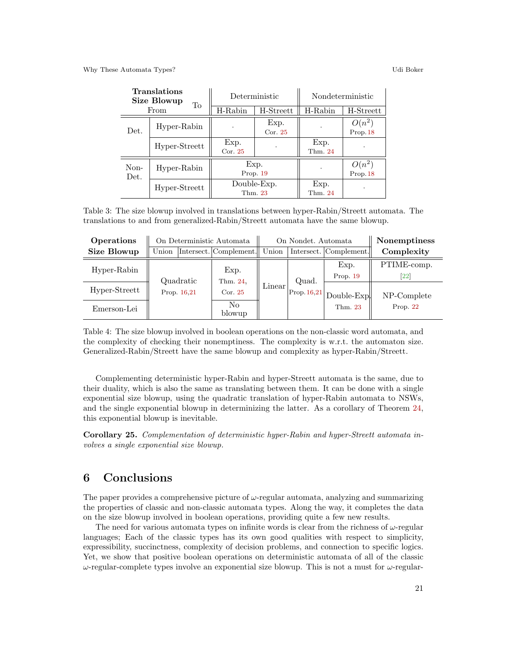| <b>Translations</b><br><b>Size Blowup</b><br>To<br>From |               |                    | Deterministic          | Nondeterministic |                      |
|---------------------------------------------------------|---------------|--------------------|------------------------|------------------|----------------------|
|                                                         |               | $H-Rabin$          | H-Streett              | H-Rabin          | H-Streett            |
| Det.                                                    | Hyper-Rabin   |                    | Exp.<br>Cor. $25$      |                  | $O(n^2)$<br>Prop. 18 |
|                                                         | Hyper-Streett | Exp.<br>Cor. $25$  |                        | Exp.<br>Thm. 24  |                      |
| Non-<br>Det.                                            | Hyper-Rabin   | Exp.<br>Prop. $19$ |                        |                  | $O(n^2)$<br>Prop. 18 |
|                                                         | Hyper-Streett |                    | Double-Exp.<br>Thm. 23 | Exp.<br>Thm. 24  |                      |

<span id="page-20-0"></span>Table 3: The size blowup involved in translations between hyper-Rabin/Streett automata. The translations to and from generalized-Rabin/Streett automata have the same blowup.

| Operations    | On Deterministic Automata |  |                             | On Nondet. Automata |                     |                  | <b>Nonemptiness</b>               |
|---------------|---------------------------|--|-----------------------------|---------------------|---------------------|------------------|-----------------------------------|
| Size Blowup   | Union                     |  | Intersect. Complement.      | Union               | Intersect.          | Complement.      | Complexity                        |
| Hyper-Rabin   | Quadratic<br>Prop. 16.21  |  | Exp.<br>Thm. 24,<br>Cor. 25 | Linear              |                     | Exp.<br>Prop. 19 | PTIME-comp.<br>$\left  22\right $ |
| Hyper-Streett |                           |  |                             |                     | Quad.<br>Prop.16,21 | Double-Exp.      | NP-Complete                       |
| Emerson-Lei   |                           |  | No.<br>blowup               |                     |                     | Thm. 23          | Prop. $22$                        |

<span id="page-20-1"></span>Table 4: The size blowup involved in boolean operations on the non-classic word automata, and the complexity of checking their nonemptiness. The complexity is w.r.t. the automaton size. Generalized-Rabin/Streett have the same blowup and complexity as hyper-Rabin/Streett.

Complementing deterministic hyper-Rabin and hyper-Streett automata is the same, due to their duality, which is also the same as translating between them. It can be done with a single exponential size blowup, using the quadratic translation of hyper-Rabin automata to NSWs, and the single exponential blowup in determinizing the latter. As a corollary of Theorem [24,](#page-18-0) this exponential blowup is inevitable.

<span id="page-20-2"></span>Corollary 25. Complementation of deterministic hyper-Rabin and hyper-Streett automata involves a single exponential size blowup.

## 6 Conclusions

The paper provides a comprehensive picture of  $\omega$ -regular automata, analyzing and summarizing the properties of classic and non-classic automata types. Along the way, it completes the data on the size blowup involved in boolean operations, providing quite a few new results.

The need for various automata types on infinite words is clear from the richness of  $\omega$ -regular languages; Each of the classic types has its own good qualities with respect to simplicity, expressibility, succinctness, complexity of decision problems, and connection to specific logics. Yet, we show that positive boolean operations on deterministic automata of all of the classic  $ω$ -regular-complete types involve an exponential size blowup. This is not a must for  $ω$ -regular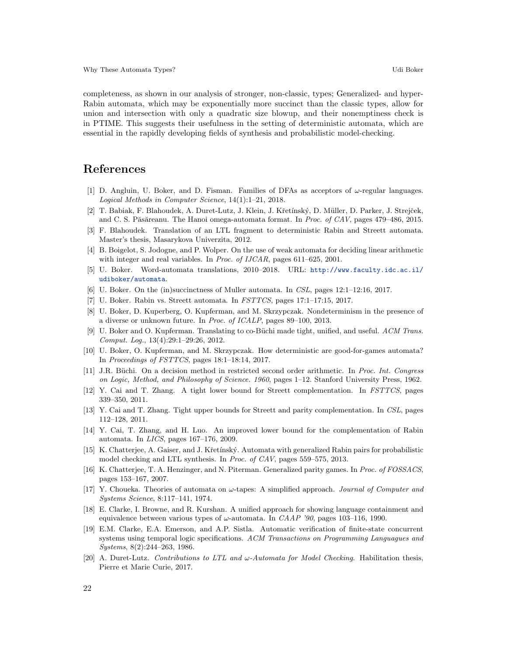completeness, as shown in our analysis of stronger, non-classic, types; Generalized- and hyper-Rabin automata, which may be exponentially more succinct than the classic types, allow for union and intersection with only a quadratic size blowup, and their nonemptiness check is in PTIME. This suggests their usefulness in the setting of deterministic automata, which are essential in the rapidly developing fields of synthesis and probabilistic model-checking.

## References

- <span id="page-21-11"></span>[1] D. Angluin, U. Boker, and D. Fisman. Families of DFAs as acceptors of  $\omega$ -regular languages. Logical Methods in Computer Science, 14(1):1–21, 2018.
- <span id="page-21-3"></span>[2] T. Babiak, F. Blahoudek, A. Duret-Lutz, J. Klein, J. Křetínský, D. Müller, D. Parker, J. Strejček, and C. S. Păsăreanu. The Hanoi omega-automata format. In *Proc. of CAV*, pages  $479-486$ ,  $2015$ .
- <span id="page-21-4"></span>[3] F. Blahoudek. Translation of an LTL fragment to deterministic Rabin and Streett automata. Master's thesis, Masarykova Univerzita, 2012.
- <span id="page-21-17"></span>[4] B. Boigelot, S. Jodogne, and P. Wolper. On the use of weak automata for deciding linear arithmetic with integer and real variables. In *Proc. of IJCAR*, pages 611–625, 2001.
- <span id="page-21-0"></span>[5] U. Boker. Word-automata translations, 2010–2018. URL: [http://www.faculty.idc.ac.il/](http://www.faculty.idc.ac.il/udiboker/automata) [udiboker/automata](http://www.faculty.idc.ac.il/udiboker/automata).
- <span id="page-21-10"></span>[6] U. Boker. On the (in)succinctness of Muller automata. In CSL, pages 12:1–12:16, 2017.
- <span id="page-21-9"></span>[7] U. Boker. Rabin vs. Streett automata. In FSTTCS, pages 17:1–17:15, 2017.
- <span id="page-21-1"></span>[8] U. Boker, D. Kuperberg, O. Kupferman, and M. Skrzypczak. Nondeterminism in the presence of a diverse or unknown future. In Proc. of ICALP, pages 89–100, 2013.
- <span id="page-21-19"></span>[9] U. Boker and O. Kupferman. Translating to co-Büchi made tight, unified, and useful. ACM Trans. Comput. Log., 13(4):29:1–29:26, 2012.
- <span id="page-21-2"></span>[10] U. Boker, O. Kupferman, and M. Skrzypczak. How deterministic are good-for-games automata? In Proceedings of FSTTCS, pages 18:1–18:14, 2017.
- <span id="page-21-18"></span>[11] J.R. Büchi. On a decision method in restricted second order arithmetic. In Proc. Int. Congress on Logic, Method, and Philosophy of Science. 1960, pages 1–12. Stanford University Press, 1962.
- <span id="page-21-15"></span>[12] Y. Cai and T. Zhang. A tight lower bound for Streett complementation. In FSTTCS, pages 339–350, 2011.
- <span id="page-21-14"></span>[13] Y. Cai and T. Zhang. Tight upper bounds for Streett and parity complementation. In CSL, pages 112–128, 2011.
- <span id="page-21-7"></span>[14] Y. Cai, T. Zhang, and H. Luo. An improved lower bound for the complementation of Rabin automata. In LICS, pages 167–176, 2009.
- <span id="page-21-6"></span>[15] K. Chatterjee, A. Gaiser, and J. Křetínský. Automata with generalized Rabin pairs for probabilistic model checking and LTL synthesis. In Proc. of CAV, pages 559–575, 2013.
- <span id="page-21-12"></span>[16] K. Chatterjee, T. A. Henzinger, and N. Piterman. Generalized parity games. In Proc. of FOSSACS, pages 153–167, 2007.
- <span id="page-21-8"></span>[17] Y. Choueka. Theories of automata on  $\omega$ -tapes: A simplified approach. *Journal of Computer and* Systems Science, 8:117–141, 1974.
- <span id="page-21-16"></span>[18] E. Clarke, I. Browne, and R. Kurshan. A unified approach for showing language containment and equivalence between various types of  $\omega$ -automata. In CAAP '90, pages 103–116, 1990.
- <span id="page-21-13"></span>[19] E.M. Clarke, E.A. Emerson, and A.P. Sistla. Automatic verification of finite-state concurrent systems using temporal logic specifications. ACM Transactions on Programming Languagues and Systems, 8(2):244–263, 1986.
- <span id="page-21-5"></span>[20] A. Duret-Lutz. Contributions to LTL and  $\omega$ -Automata for Model Checking. Habilitation thesis, Pierre et Marie Curie, 2017.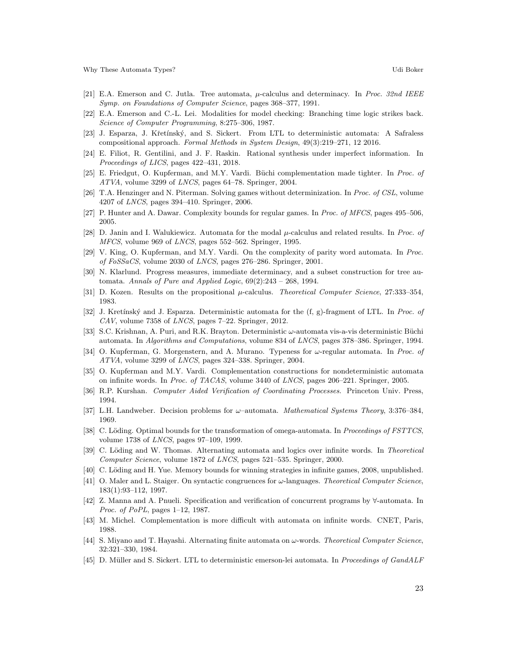- <span id="page-22-19"></span>[21] E.A. Emerson and C. Jutla. Tree automata,  $\mu$ -calculus and determinacy. In *Proc. 32nd IEEE* Symp. on Foundations of Computer Science, pages 368–377, 1991.
- <span id="page-22-3"></span>[22] E.A. Emerson and C.-L. Lei. Modalities for model checking: Branching time logic strikes back. Science of Computer Programming, 8:275–306, 1987.
- <span id="page-22-6"></span>[23] J. Esparza, J. Křetínský, and S. Sickert. From LTL to deterministic automata: A Safraless compositional approach. Formal Methods in System Design, 49(3):219–271, 12 2016.
- <span id="page-22-24"></span>[24] E. Filiot, R. Gentilini, and J. F. Raskin. Rational synthesis under imperfect information. In Proceedings of LICS, pages 422–431, 2018.
- <span id="page-22-17"></span>[25] E. Friedgut, O. Kupferman, and M.Y. Vardi. Büchi complementation made tighter. In Proc. of ATVA, volume 3299 of LNCS, pages 64–78. Springer, 2004.
- <span id="page-22-2"></span>[26] T.A. Henzinger and N. Piterman. Solving games without determinization. In Proc. of CSL, volume 4207 of LNCS, pages 394–410. Springer, 2006.
- <span id="page-22-23"></span>[27] P. Hunter and A. Dawar. Complexity bounds for regular games. In Proc. of MFCS, pages 495–506, 2005.
- <span id="page-22-20"></span>[28] D. Janin and I. Walukiewicz. Automata for the modal  $\mu$ -calculus and related results. In Proc. of MFCS, volume 969 of LNCS, pages 552–562. Springer, 1995.
- <span id="page-22-11"></span>[29] V. King, O. Kupferman, and M.Y. Vardi. On the complexity of parity word automata. In Proc. of FoSSaCS, volume 2030 of LNCS, pages 276–286. Springer, 2001.
- <span id="page-22-21"></span>[30] N. Klarlund. Progress measures, immediate determinacy, and a subset construction for tree automata. Annals of Pure and Applied Logic,  $69(2):243 - 268$ , 1994.
- <span id="page-22-18"></span>[31] D. Kozen. Results on the propositional  $\mu$ -calculus. Theoretical Computer Science, 27:333-354, 1983.
- <span id="page-22-4"></span>[32] J. Kretínský and J. Esparza. Deterministic automata for the (f, g)-fragment of LTL. In *Proc. of* CAV, volume 7358 of LNCS, pages 7–22. Springer, 2012.
- <span id="page-22-22"></span>[33] S.C. Krishnan, A. Puri, and R.K. Brayton. Deterministic  $\omega$ -automata vis-a-vis deterministic Büchi automata. In Algorithms and Computations, volume 834 of LNCS, pages 378–386. Springer, 1994.
- <span id="page-22-9"></span>[34] O. Kupferman, G. Morgenstern, and A. Murano. Typeness for  $\omega$ -regular automata. In *Proc. of* ATVA, volume 3299 of LNCS, pages 324–338. Springer, 2004.
- <span id="page-22-13"></span>[35] O. Kupferman and M.Y. Vardi. Complementation constructions for nondeterministic automata on infinite words. In Proc. of TACAS, volume 3440 of LNCS, pages 206–221. Springer, 2005.
- <span id="page-22-1"></span>[36] R.P. Kurshan. Computer Aided Verification of Coordinating Processes. Princeton Univ. Press, 1994.
- <span id="page-22-14"></span>[37] L.H. Landweber. Decision problems for  $\omega$ –automata. *Mathematical Systems Theory*, 3:376–384, 1969.
- <span id="page-22-12"></span>[38] C. Löding. Optimal bounds for the transformation of omega-automata. In Proceedings of FSTTCS, volume 1738 of LNCS, pages 97–109, 1999.
- <span id="page-22-16"></span>[39] C. Löding and W. Thomas. Alternating automata and logics over infinite words. In Theoretical Computer Science, volume 1872 of LNCS, pages 521–535. Springer, 2000.
- <span id="page-22-7"></span>[40] C. Löding and H. Yue. Memory bounds for winning strategies in infinite games, 2008, unpublished.
- <span id="page-22-15"></span>[41] O. Maler and L. Staiger. On syntactic congruences for ω-languages. Theoretical Computer Science, 183(1):93–112, 1997.
- <span id="page-22-0"></span>[42] Z. Manna and A. Pnueli. Specification and verification of concurrent programs by ∀-automata. In Proc. of PoPL, pages 1–12, 1987.
- <span id="page-22-10"></span>[43] M. Michel. Complementation is more difficult with automata on infinite words. CNET, Paris, 1988.
- <span id="page-22-8"></span>[44] S. Miyano and T. Hayashi. Alternating finite automata on  $\omega$ -words. Theoretical Computer Science, 32:321–330, 1984.
- <span id="page-22-5"></span>[45] D. Müller and S. Sickert. LTL to deterministic emerson-lei automata. In Proceedings of GandALF